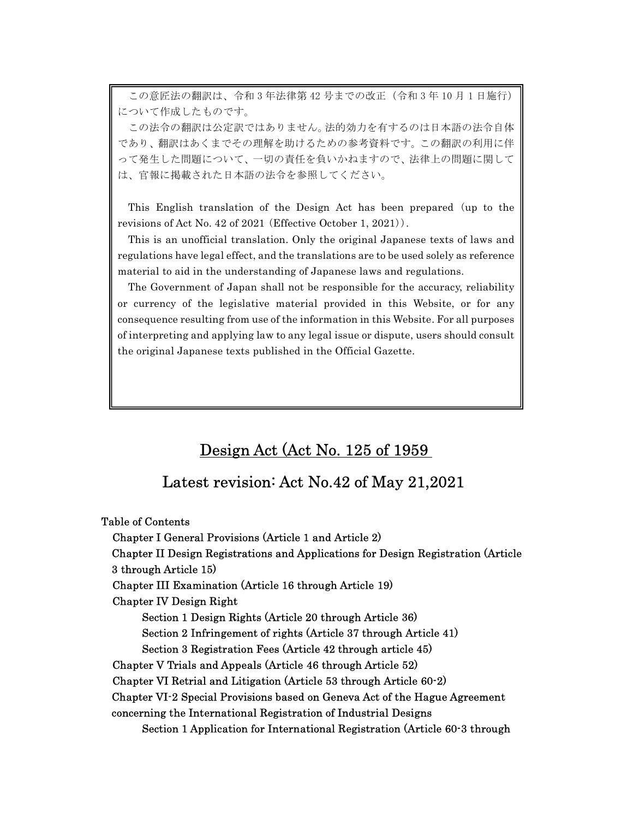この意匠法の翻訳は、令和 3 年法律第 42 号までの改正(令和 3 年 10 月 1 日施行) について作成したものです。

 この法令の翻訳は公定訳ではありません。法的効力を有するのは日本語の法令自体 って発生した問題について、一切の責任を負いかねますので、法律上の問題に関して であり、翻訳はあくまでその理解を助けるための参考資料です。この翻訳の利用に伴 は、官報に掲載された日本語の法令を参照してください。

 revisions of Act No. 42 of 2021 (Effective October 1, 2021)). This English translation of the Design Act has been prepared (up to the

 regulations have legal effect, and the translations are to be used solely as reference This is an unofficial translation. Only the original Japanese texts of laws and material to aid in the understanding of Japanese laws and regulations.

 The Government of Japan shall not be responsible for the accuracy, reliability consequence resulting from use of the information in this Website. For all purposes the original Japanese texts published in the Official Gazette. or currency of the legislative material provided in this Website, or for any of interpreting and applying law to any legal issue or dispute, users should consult

# Design Act (Act No. 125 of 1959

# Latest revision: Act No.42 of May 21,2021

Table of Contents Chapter I General Provisions (Article 1 and Article 2) Chapter II Design Registrations and Applications for Design Registration (Article 3 through Article 15) Chapter III Examination (Article 16 through Article 19) Chapter IV Design Right Section 1 Design Rights (Article 20 through Article 36) Section 2 Infringement of rights (Article 37 through Article 41) Section 3 Registration Fees (Article 42 through article 45) Chapter V Trials and Appeals (Article 46 through Article 52) Chapter VI Retrial and Litigation (Article 53 through Article 60-2) Chapter VI-2 Special Provisions based on Geneva Act of the Hague Agreement concerning the International Registration of Industrial Designs Section 1 Application for International Registration (Article 60-3 through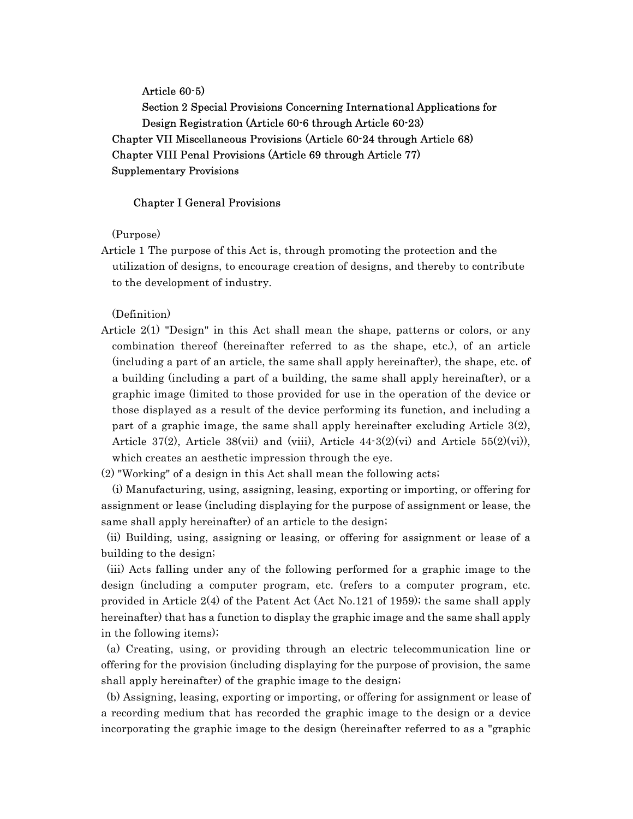Article 60-5) Section 2 Special Provisions Concerning International Applications for Design Registration (Article 60-6 through Article 60-23) Chapter VII Miscellaneous Provisions (Article 60-24 through Article 68) Chapter VIII Penal Provisions (Article 69 through Article 77) Supplementary Provisions

### Chapter I General Provisions

(Purpose)

Article 1 The purpose of this Act is, through promoting the protection and the utilization of designs, to encourage creation of designs, and thereby to contribute to the development of industry.

(Definition)

Article 2(1) "Design" in this Act shall mean the shape, patterns or colors, or any combination thereof (hereinafter referred to as the shape, etc.), of an article (including a part of an article, the same shall apply hereinafter), the shape, etc. of a building (including a part of a building, the same shall apply hereinafter), or a graphic image (limited to those provided for use in the operation of the device or those displayed as a result of the device performing its function, and including a part of a graphic image, the same shall apply hereinafter excluding Article 3(2), Article 37(2), Article 38(vii) and (viii), Article  $44\text{-}3(2)(vi)$  and Article  $55(2)(vi)$ ), which creates an aesthetic impression through the eye.

(2) "Working" of a design in this Act shall mean the following acts;

 (i) Manufacturing, using, assigning, leasing, exporting or importing, or offering for assignment or lease (including displaying for the purpose of assignment or lease, the same shall apply hereinafter) of an article to the design;

(ii) Building, using, assigning or leasing, or offering for assignment or lease of a building to the design;

(iii) Acts falling under any of the following performed for a graphic image to the design (including a computer program, etc. (refers to a computer program, etc. provided in Article 2(4) of the Patent Act (Act No.121 of 1959); the same shall apply hereinafter) that has a function to display the graphic image and the same shall apply in the following items);

(a) Creating, using, or providing through an electric telecommunication line or offering for the provision (including displaying for the purpose of provision, the same shall apply hereinafter) of the graphic image to the design;

(b) Assigning, leasing, exporting or importing, or offering for assignment or lease of a recording medium that has recorded the graphic image to the design or a device incorporating the graphic image to the design (hereinafter referred to as a "graphic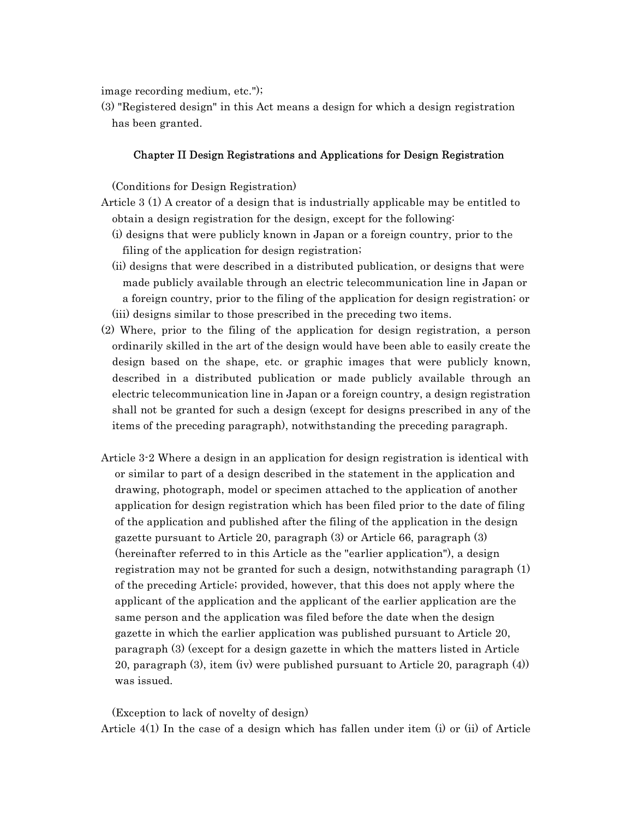image recording medium, etc.");

(3) "Registered design" in this Act means a design for which a design registration has been granted.

### Chapter II Design Registrations and Applications for Design Registration

(Conditions for Design Registration)

- Article 3 (1) A creator of a design that is industrially applicable may be entitled to obtain a design registration for the design, except for the following:
	- (i) designs that were publicly known in Japan or a foreign country, prior to the filing of the application for design registration;
	- (ii) designs that were described in a distributed publication, or designs that were made publicly available through an electric telecommunication line in Japan or a foreign country, prior to the filing of the application for design registration; or (iii) designs similar to those prescribed in the preceding two items.
- (2) Where, prior to the filing of the application for design registration, a person ordinarily skilled in the art of the design would have been able to easily create the design based on the shape, etc. or graphic images that were publicly known, described in a distributed publication or made publicly available through an electric telecommunication line in Japan or a foreign country, a design registration shall not be granted for such a design (except for designs prescribed in any of the items of the preceding paragraph), notwithstanding the preceding paragraph.
- Article 3-2 Where a design in an application for design registration is identical with or similar to part of a design described in the statement in the application and drawing, photograph, model or specimen attached to the application of another application for design registration which has been filed prior to the date of filing of the application and published after the filing of the application in the design gazette pursuant to Article 20, paragraph (3) or Article 66, paragraph (3) (hereinafter referred to in this Article as the "earlier application"), a design registration may not be granted for such a design, notwithstanding paragraph (1) of the preceding Article; provided, however, that this does not apply where the applicant of the application and the applicant of the earlier application are the same person and the application was filed before the date when the design gazette in which the earlier application was published pursuant to Article 20, paragraph (3) (except for a design gazette in which the matters listed in Article 20, paragraph (3), item (iv) were published pursuant to Article 20, paragraph (4)) was issued.

(Exception to lack of novelty of design) Article 4(1) In the case of a design which has fallen under item (i) or (ii) of Article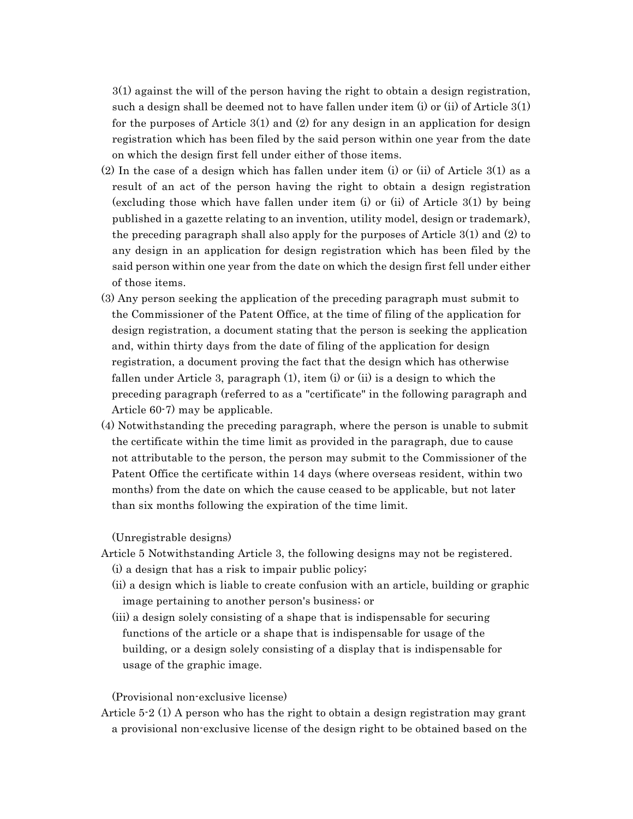3(1) against the will of the person having the right to obtain a design registration, such a design shall be deemed not to have fallen under item (i) or (ii) of Article 3(1) for the purposes of Article  $3(1)$  and  $(2)$  for any design in an application for design registration which has been filed by the said person within one year from the date on which the design first fell under either of those items.

- (2) In the case of a design which has fallen under item (i) or (ii) of Article 3(1) as a result of an act of the person having the right to obtain a design registration (excluding those which have fallen under item (i) or (ii) of Article 3(1) by being published in a gazette relating to an invention, utility model, design or trademark), the preceding paragraph shall also apply for the purposes of Article 3(1) and (2) to any design in an application for design registration which has been filed by the said person within one year from the date on which the design first fell under either of those items.
- (3) Any person seeking the application of the preceding paragraph must submit to the Commissioner of the Patent Office, at the time of filing of the application for design registration, a document stating that the person is seeking the application and, within thirty days from the date of filing of the application for design registration, a document proving the fact that the design which has otherwise fallen under Article 3, paragraph (1), item (i) or (ii) is a design to which the preceding paragraph (referred to as a "certificate" in the following paragraph and Article 60-7) may be applicable.
- (4) Notwithstanding the preceding paragraph, where the person is unable to submit the certificate within the time limit as provided in the paragraph, due to cause not attributable to the person, the person may submit to the Commissioner of the Patent Office the certificate within 14 days (where overseas resident, within two months) from the date on which the cause ceased to be applicable, but not later than six months following the expiration of the time limit.

(Unregistrable designs)

- Article 5 Notwithstanding Article 3, the following designs may not be registered.
	- (i) a design that has a risk to impair public policy;
	- (ii) a design which is liable to create confusion with an article, building or graphic image pertaining to another person's business; or
	- (iii) a design solely consisting of a shape that is indispensable for securing functions of the article or a shape that is indispensable for usage of the building, or a design solely consisting of a display that is indispensable for usage of the graphic image.

(Provisional non-exclusive license)

Article 5-2 (1) A person who has the right to obtain a design registration may grant a provisional non-exclusive license of the design right to be obtained based on the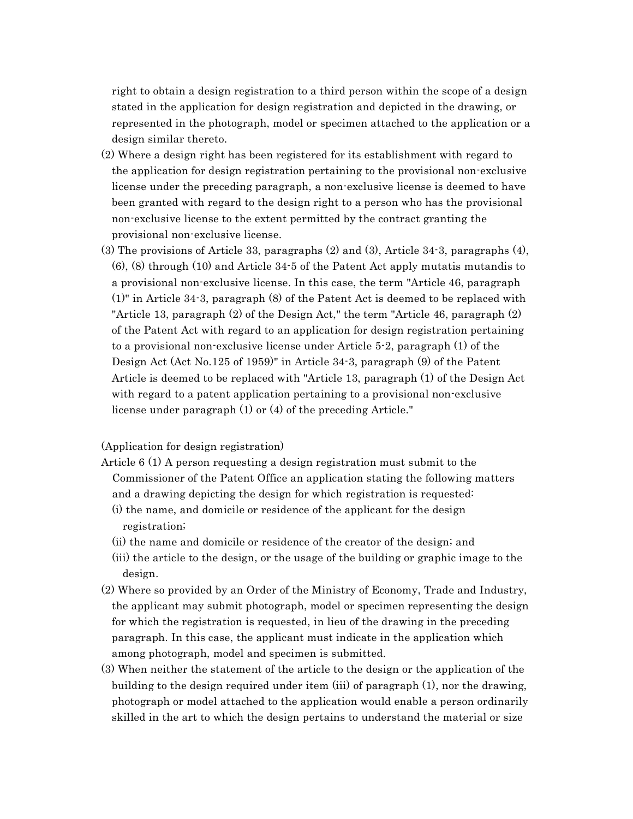right to obtain a design registration to a third person within the scope of a design stated in the application for design registration and depicted in the drawing, or represented in the photograph, model or specimen attached to the application or a design similar thereto.

- (2) Where a design right has been registered for its establishment with regard to the application for design registration pertaining to the provisional non-exclusive license under the preceding paragraph, a non-exclusive license is deemed to have been granted with regard to the design right to a person who has the provisional non-exclusive license to the extent permitted by the contract granting the provisional non-exclusive license.
- (3) The provisions of Article 33, paragraphs (2) and (3), Article 34-3, paragraphs (4), (6), (8) through (10) and Article 34-5 of the Patent Act apply mutatis mutandis to a provisional non-exclusive license. In this case, the term "Article 46, paragraph (1)" in Article 34-3, paragraph (8) of the Patent Act is deemed to be replaced with "Article 13, paragraph (2) of the Design Act," the term "Article 46, paragraph (2) of the Patent Act with regard to an application for design registration pertaining to a provisional non-exclusive license under Article 5-2, paragraph (1) of the Design Act (Act No.125 of 1959)" in Article 34-3, paragraph (9) of the Patent Article is deemed to be replaced with "Article 13, paragraph (1) of the Design Act with regard to a patent application pertaining to a provisional non-exclusive license under paragraph (1) or (4) of the preceding Article."

## (Application for design registration)

- Article 6 (1) A person requesting a design registration must submit to the Commissioner of the Patent Office an application stating the following matters and a drawing depicting the design for which registration is requested:
	- (i) the name, and domicile or residence of the applicant for the design registration;
	- (ii) the name and domicile or residence of the creator of the design; and
	- (iii) the article to the design, or the usage of the building or graphic image to the design.
- (2) Where so provided by an Order of the Ministry of Economy, Trade and Industry, the applicant may submit photograph, model or specimen representing the design for which the registration is requested, in lieu of the drawing in the preceding paragraph. In this case, the applicant must indicate in the application which among photograph, model and specimen is submitted.
- (3) When neither the statement of the article to the design or the application of the building to the design required under item (iii) of paragraph (1), nor the drawing, photograph or model attached to the application would enable a person ordinarily skilled in the art to which the design pertains to understand the material or size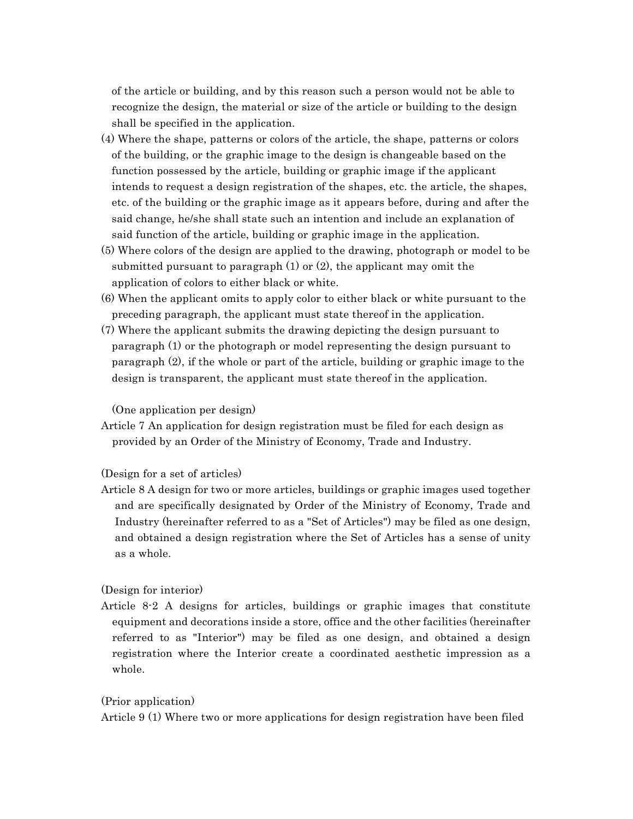of the article or building, and by this reason such a person would not be able to recognize the design, the material or size of the article or building to the design shall be specified in the application.

- (4) Where the shape, patterns or colors of the article, the shape, patterns or colors of the building, or the graphic image to the design is changeable based on the function possessed by the article, building or graphic image if the applicant intends to request a design registration of the shapes, etc. the article, the shapes, etc. of the building or the graphic image as it appears before, during and after the said change, he/she shall state such an intention and include an explanation of said function of the article, building or graphic image in the application.
- (5) Where colors of the design are applied to the drawing, photograph or model to be submitted pursuant to paragraph  $(1)$  or  $(2)$ , the applicant may omit the application of colors to either black or white.
- (6) When the applicant omits to apply color to either black or white pursuant to the preceding paragraph, the applicant must state thereof in the application.
- (7) Where the applicant submits the drawing depicting the design pursuant to paragraph (1) or the photograph or model representing the design pursuant to paragraph (2), if the whole or part of the article, building or graphic image to the design is transparent, the applicant must state thereof in the application.

(One application per design)

Article 7 An application for design registration must be filed for each design as provided by an Order of the Ministry of Economy, Trade and Industry.

### (Design for a set of articles)

Article 8 A design for two or more articles, buildings or graphic images used together and are specifically designated by Order of the Ministry of Economy, Trade and Industry (hereinafter referred to as a "Set of Articles") may be filed as one design, and obtained a design registration where the Set of Articles has a sense of unity as a whole.

### (Design for interior)

Article 8-2 A designs for articles, buildings or graphic images that constitute equipment and decorations inside a store, office and the other facilities (hereinafter referred to as "Interior") may be filed as one design, and obtained a design registration where the Interior create a coordinated aesthetic impression as a whole.

### (Prior application)

Article 9 (1) Where two or more applications for design registration have been filed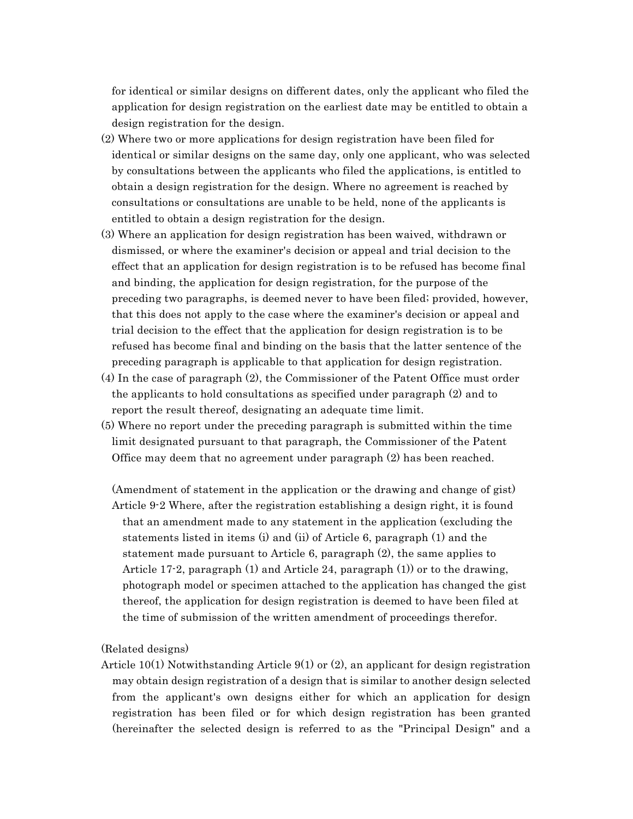for identical or similar designs on different dates, only the applicant who filed the application for design registration on the earliest date may be entitled to obtain a design registration for the design.

- (2) Where two or more applications for design registration have been filed for identical or similar designs on the same day, only one applicant, who was selected by consultations between the applicants who filed the applications, is entitled to obtain a design registration for the design. Where no agreement is reached by consultations or consultations are unable to be held, none of the applicants is entitled to obtain a design registration for the design.
- (3) Where an application for design registration has been waived, withdrawn or dismissed, or where the examiner's decision or appeal and trial decision to the effect that an application for design registration is to be refused has become final and binding, the application for design registration, for the purpose of the preceding two paragraphs, is deemed never to have been filed; provided, however, that this does not apply to the case where the examiner's decision or appeal and trial decision to the effect that the application for design registration is to be refused has become final and binding on the basis that the latter sentence of the preceding paragraph is applicable to that application for design registration.
- (4) In the case of paragraph (2), the Commissioner of the Patent Office must order the applicants to hold consultations as specified under paragraph (2) and to report the result thereof, designating an adequate time limit.
- (5) Where no report under the preceding paragraph is submitted within the time limit designated pursuant to that paragraph, the Commissioner of the Patent Office may deem that no agreement under paragraph (2) has been reached.

(Amendment of statement in the application or the drawing and change of gist) Article 9-2 Where, after the registration establishing a design right, it is found that an amendment made to any statement in the application (excluding the statements listed in items (i) and (ii) of Article 6, paragraph (1) and the statement made pursuant to Article 6, paragraph (2), the same applies to Article 17-2, paragraph (1) and Article 24, paragraph (1)) or to the drawing, photograph model or specimen attached to the application has changed the gist thereof, the application for design registration is deemed to have been filed at the time of submission of the written amendment of proceedings therefor.

(Related designs)

Article 10(1) Notwithstanding Article 9(1) or (2), an applicant for design registration may obtain design registration of a design that is similar to another design selected from the applicant's own designs either for which an application for design registration has been filed or for which design registration has been granted (hereinafter the selected design is referred to as the "Principal Design" and a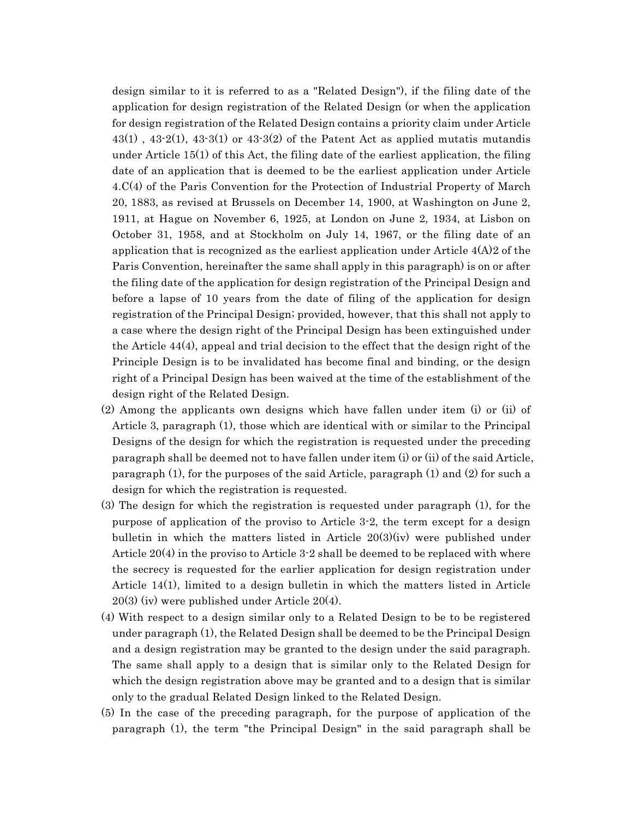design similar to it is referred to as a "Related Design"), if the filing date of the application for design registration of the Related Design (or when the application for design registration of the Related Design contains a priority claim under Article  $43(1)$ ,  $43-2(1)$ ,  $43-3(1)$  or  $43-3(2)$  of the Patent Act as applied mutatis mutandis under Article 15(1) of this Act, the filing date of the earliest application, the filing date of an application that is deemed to be the earliest application under Article 4.C(4) of the Paris Convention for the Protection of Industrial Property of March 20, 1883, as revised at Brussels on December 14, 1900, at Washington on June 2, 1911, at Hague on November 6, 1925, at London on June 2, 1934, at Lisbon on October 31, 1958, and at Stockholm on July 14, 1967, or the filing date of an application that is recognized as the earliest application under Article 4(A)2 of the Paris Convention, hereinafter the same shall apply in this paragraph) is on or after the filing date of the application for design registration of the Principal Design and before a lapse of 10 years from the date of filing of the application for design registration of the Principal Design; provided, however, that this shall not apply to a case where the design right of the Principal Design has been extinguished under the Article 44(4), appeal and trial decision to the effect that the design right of the Principle Design is to be invalidated has become final and binding, or the design right of a Principal Design has been waived at the time of the establishment of the design right of the Related Design.

- (2) Among the applicants own designs which have fallen under item (i) or (ii) of Article 3, paragraph (1), those which are identical with or similar to the Principal Designs of the design for which the registration is requested under the preceding paragraph shall be deemed not to have fallen under item (i) or (ii) of the said Article, paragraph (1), for the purposes of the said Article, paragraph (1) and (2) for such a design for which the registration is requested.
- (3) The design for which the registration is requested under paragraph (1), for the purpose of application of the proviso to Article 3-2, the term except for a design bulletin in which the matters listed in Article 20(3)(iv) were published under Article 20(4) in the proviso to Article 3-2 shall be deemed to be replaced with where the secrecy is requested for the earlier application for design registration under Article 14(1), limited to a design bulletin in which the matters listed in Article 20(3) (iv) were published under Article 20(4).
- (4) With respect to a design similar only to a Related Design to be to be registered under paragraph (1), the Related Design shall be deemed to be the Principal Design and a design registration may be granted to the design under the said paragraph. The same shall apply to a design that is similar only to the Related Design for which the design registration above may be granted and to a design that is similar only to the gradual Related Design linked to the Related Design.
- (5) In the case of the preceding paragraph, for the purpose of application of the paragraph (1), the term "the Principal Design" in the said paragraph shall be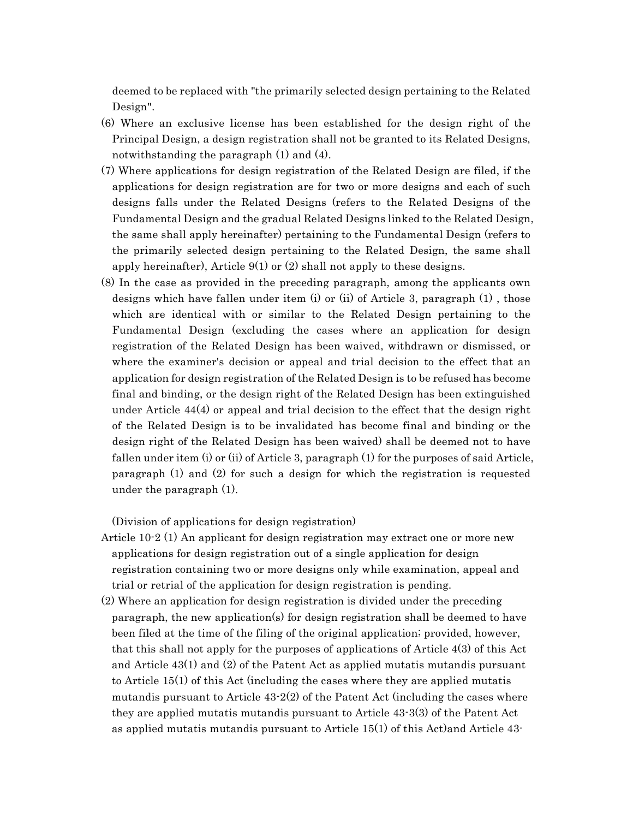deemed to be replaced with "the primarily selected design pertaining to the Related Design".

- (6) Where an exclusive license has been established for the design right of the Principal Design, a design registration shall not be granted to its Related Designs, notwithstanding the paragraph (1) and (4).
- (7) Where applications for design registration of the Related Design are filed, if the applications for design registration are for two or more designs and each of such designs falls under the Related Designs (refers to the Related Designs of the Fundamental Design and the gradual Related Designs linked to the Related Design, the same shall apply hereinafter) pertaining to the Fundamental Design (refers to the primarily selected design pertaining to the Related Design, the same shall apply hereinafter), Article  $9(1)$  or  $(2)$  shall not apply to these designs.
- (8) In the case as provided in the preceding paragraph, among the applicants own designs which have fallen under item (i) or (ii) of Article 3, paragraph (1) , those which are identical with or similar to the Related Design pertaining to the Fundamental Design (excluding the cases where an application for design registration of the Related Design has been waived, withdrawn or dismissed, or where the examiner's decision or appeal and trial decision to the effect that an application for design registration of the Related Design is to be refused has become final and binding, or the design right of the Related Design has been extinguished under Article 44(4) or appeal and trial decision to the effect that the design right of the Related Design is to be invalidated has become final and binding or the design right of the Related Design has been waived) shall be deemed not to have fallen under item (i) or (ii) of Article 3, paragraph (1) for the purposes of said Article, paragraph (1) and (2) for such a design for which the registration is requested under the paragraph (1).

(Division of applications for design registration)

- Article 10-2 (1) An applicant for design registration may extract one or more new applications for design registration out of a single application for design registration containing two or more designs only while examination, appeal and trial or retrial of the application for design registration is pending.
- (2) Where an application for design registration is divided under the preceding paragraph, the new application(s) for design registration shall be deemed to have been filed at the time of the filing of the original application; provided, however, that this shall not apply for the purposes of applications of Article 4(3) of this Act and Article 43(1) and (2) of the Patent Act as applied mutatis mutandis pursuant to Article 15(1) of this Act (including the cases where they are applied mutatis mutandis pursuant to Article 43-2(2) of the Patent Act (including the cases where they are applied mutatis mutandis pursuant to Article 43-3(3) of the Patent Act as applied mutatis mutandis pursuant to Article 15(1) of this Act)and Article 43-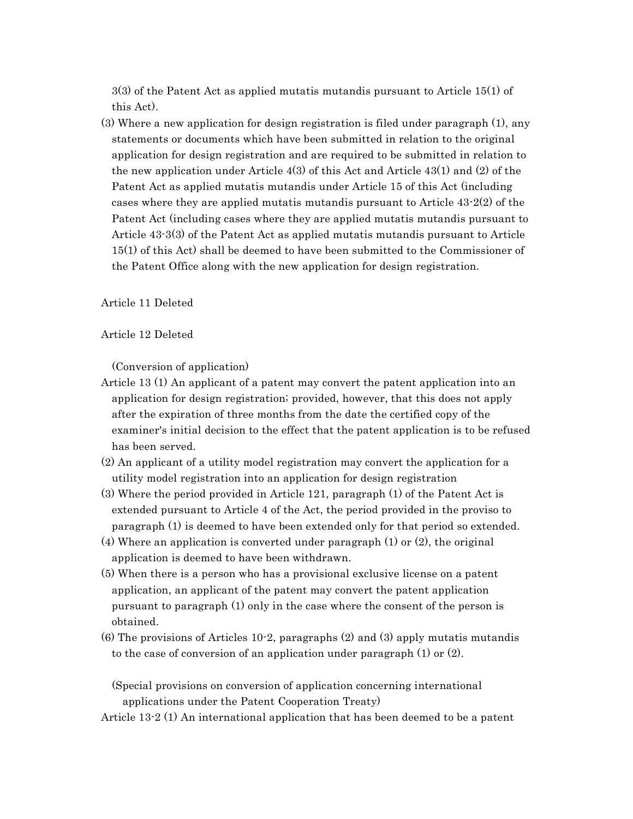3(3) of the Patent Act as applied mutatis mutandis pursuant to Article 15(1) of this Act).

(3) Where a new application for design registration is filed under paragraph (1), any statements or documents which have been submitted in relation to the original application for design registration and are required to be submitted in relation to the new application under Article  $4(3)$  of this Act and Article  $43(1)$  and  $(2)$  of the Patent Act as applied mutatis mutandis under Article 15 of this Act (including cases where they are applied mutatis mutandis pursuant to Article 43-2(2) of the Patent Act (including cases where they are applied mutatis mutandis pursuant to Article 43-3(3) of the Patent Act as applied mutatis mutandis pursuant to Article 15(1) of this Act) shall be deemed to have been submitted to the Commissioner of the Patent Office along with the new application for design registration.

Article 11 Deleted

Article 12 Deleted

(Conversion of application)

- Article 13 (1) An applicant of a patent may convert the patent application into an application for design registration; provided, however, that this does not apply after the expiration of three months from the date the certified copy of the examiner's initial decision to the effect that the patent application is to be refused has been served.
- (2) An applicant of a utility model registration may convert the application for a utility model registration into an application for design registration
- (3) Where the period provided in Article 121, paragraph (1) of the Patent Act is extended pursuant to Article 4 of the Act, the period provided in the proviso to paragraph (1) is deemed to have been extended only for that period so extended.
- (4) Where an application is converted under paragraph (1) or (2), the original application is deemed to have been withdrawn.
- (5) When there is a person who has a provisional exclusive license on a patent application, an applicant of the patent may convert the patent application pursuant to paragraph (1) only in the case where the consent of the person is obtained.
- (6) The provisions of Articles 10-2, paragraphs (2) and (3) apply mutatis mutandis to the case of conversion of an application under paragraph (1) or (2).

(Special provisions on conversion of application concerning international applications under the Patent Cooperation Treaty)

Article 13-2 (1) An international application that has been deemed to be a patent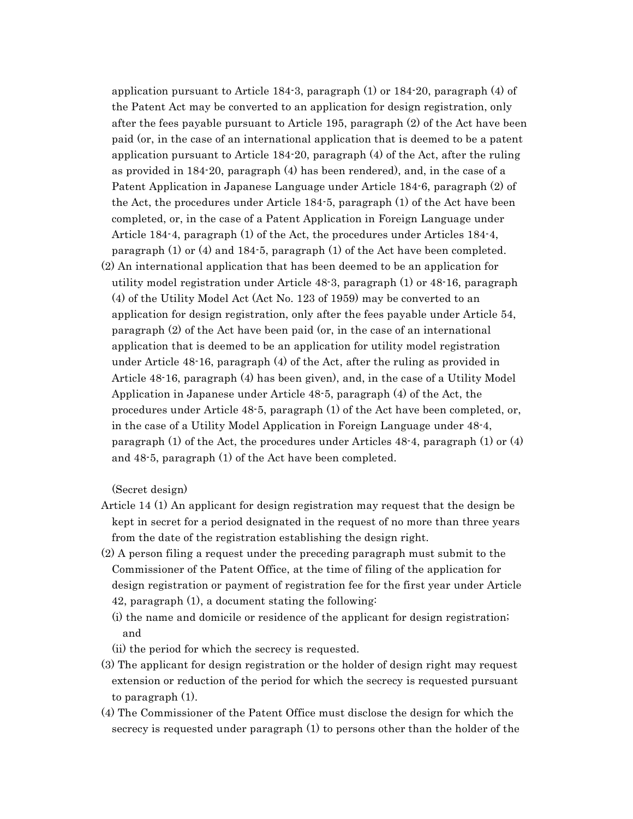application pursuant to Article 184-3, paragraph (1) or 184-20, paragraph (4) of the Patent Act may be converted to an application for design registration, only after the fees payable pursuant to Article 195, paragraph (2) of the Act have been paid (or, in the case of an international application that is deemed to be a patent application pursuant to Article 184-20, paragraph (4) of the Act, after the ruling as provided in 184-20, paragraph (4) has been rendered), and, in the case of a Patent Application in Japanese Language under Article 184-6, paragraph (2) of the Act, the procedures under Article 184-5, paragraph (1) of the Act have been completed, or, in the case of a Patent Application in Foreign Language under Article 184-4, paragraph (1) of the Act, the procedures under Articles 184-4, paragraph (1) or (4) and 184-5, paragraph (1) of the Act have been completed.

(2) An international application that has been deemed to be an application for utility model registration under Article 48-3, paragraph (1) or 48-16, paragraph (4) of the Utility Model Act (Act No. 123 of 1959) may be converted to an application for design registration, only after the fees payable under Article 54, paragraph (2) of the Act have been paid (or, in the case of an international application that is deemed to be an application for utility model registration under Article 48-16, paragraph (4) of the Act, after the ruling as provided in Article 48-16, paragraph (4) has been given), and, in the case of a Utility Model Application in Japanese under Article 48-5, paragraph (4) of the Act, the procedures under Article 48-5, paragraph (1) of the Act have been completed, or, in the case of a Utility Model Application in Foreign Language under 48-4, paragraph (1) of the Act, the procedures under Articles 48-4, paragraph (1) or (4) and 48-5, paragraph (1) of the Act have been completed.

(Secret design)

- Article 14 (1) An applicant for design registration may request that the design be kept in secret for a period designated in the request of no more than three years from the date of the registration establishing the design right.
- (2) A person filing a request under the preceding paragraph must submit to the Commissioner of the Patent Office, at the time of filing of the application for design registration or payment of registration fee for the first year under Article 42, paragraph (1), a document stating the following:
	- (i) the name and domicile or residence of the applicant for design registration; and
	- (ii) the period for which the secrecy is requested.
- (3) The applicant for design registration or the holder of design right may request extension or reduction of the period for which the secrecy is requested pursuant to paragraph (1).
- (4) The Commissioner of the Patent Office must disclose the design for which the secrecy is requested under paragraph (1) to persons other than the holder of the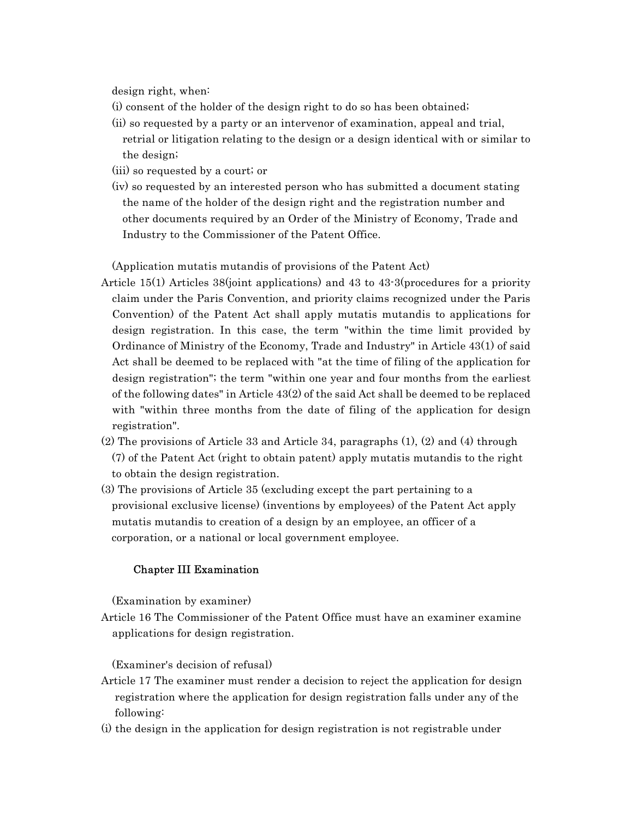design right, when:

- (i) consent of the holder of the design right to do so has been obtained;
- (ii) so requested by a party or an intervenor of examination, appeal and trial, retrial or litigation relating to the design or a design identical with or similar to the design;
- (iii) so requested by a court; or
- (iv) so requested by an interested person who has submitted a document stating the name of the holder of the design right and the registration number and other documents required by an Order of the Ministry of Economy, Trade and Industry to the Commissioner of the Patent Office.

(Application mutatis mutandis of provisions of the Patent Act)

- Article 15(1) Articles 38(joint applications) and 43 to 43-3(procedures for a priority claim under the Paris Convention, and priority claims recognized under the Paris Convention) of the Patent Act shall apply mutatis mutandis to applications for design registration. In this case, the term "within the time limit provided by Ordinance of Ministry of the Economy, Trade and Industry" in Article 43(1) of said Act shall be deemed to be replaced with "at the time of filing of the application for design registration"; the term "within one year and four months from the earliest of the following dates" in Article 43(2) of the said Act shall be deemed to be replaced with "within three months from the date of filing of the application for design registration".
- (2) The provisions of Article 33 and Article 34, paragraphs (1), (2) and (4) through (7) of the Patent Act (right to obtain patent) apply mutatis mutandis to the right to obtain the design registration.
- (3) The provisions of Article 35 (excluding except the part pertaining to a provisional exclusive license) (inventions by employees) of the Patent Act apply mutatis mutandis to creation of a design by an employee, an officer of a corporation, or a national or local government employee.

### Chapter III Examination

(Examination by examiner)

Article 16 The Commissioner of the Patent Office must have an examiner examine applications for design registration.

(Examiner's decision of refusal)

- Article 17 The examiner must render a decision to reject the application for design registration where the application for design registration falls under any of the following:
- (i) the design in the application for design registration is not registrable under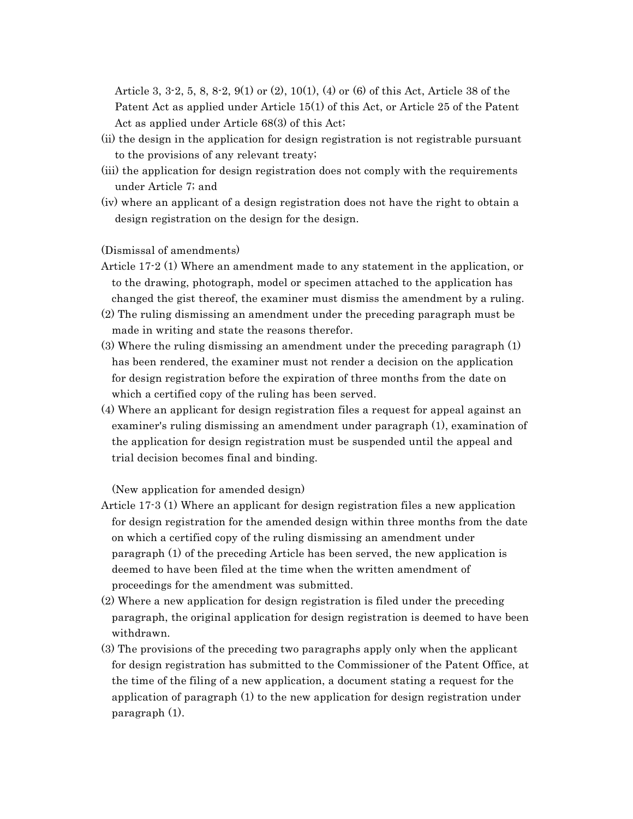Article 3, 3-2, 5, 8, 8-2, 9(1) or (2), 10(1), (4) or (6) of this Act, Article 38 of the Patent Act as applied under Article 15(1) of this Act, or Article 25 of the Patent Act as applied under Article 68(3) of this Act;

- (ii) the design in the application for design registration is not registrable pursuant to the provisions of any relevant treaty;
- (iii) the application for design registration does not comply with the requirements under Article 7; and
- (iv) where an applicant of a design registration does not have the right to obtain a design registration on the design for the design.

(Dismissal of amendments)

- Article 17-2 (1) Where an amendment made to any statement in the application, or to the drawing, photograph, model or specimen attached to the application has changed the gist thereof, the examiner must dismiss the amendment by a ruling.
- (2) The ruling dismissing an amendment under the preceding paragraph must be made in writing and state the reasons therefor.
- (3) Where the ruling dismissing an amendment under the preceding paragraph (1) has been rendered, the examiner must not render a decision on the application for design registration before the expiration of three months from the date on which a certified copy of the ruling has been served.
- (4) Where an applicant for design registration files a request for appeal against an examiner's ruling dismissing an amendment under paragraph (1), examination of the application for design registration must be suspended until the appeal and trial decision becomes final and binding.

(New application for amended design)

- Article 17-3 (1) Where an applicant for design registration files a new application for design registration for the amended design within three months from the date on which a certified copy of the ruling dismissing an amendment under paragraph (1) of the preceding Article has been served, the new application is deemed to have been filed at the time when the written amendment of proceedings for the amendment was submitted.
- (2) Where a new application for design registration is filed under the preceding paragraph, the original application for design registration is deemed to have been withdrawn.
- (3) The provisions of the preceding two paragraphs apply only when the applicant for design registration has submitted to the Commissioner of the Patent Office, at the time of the filing of a new application, a document stating a request for the application of paragraph (1) to the new application for design registration under paragraph (1).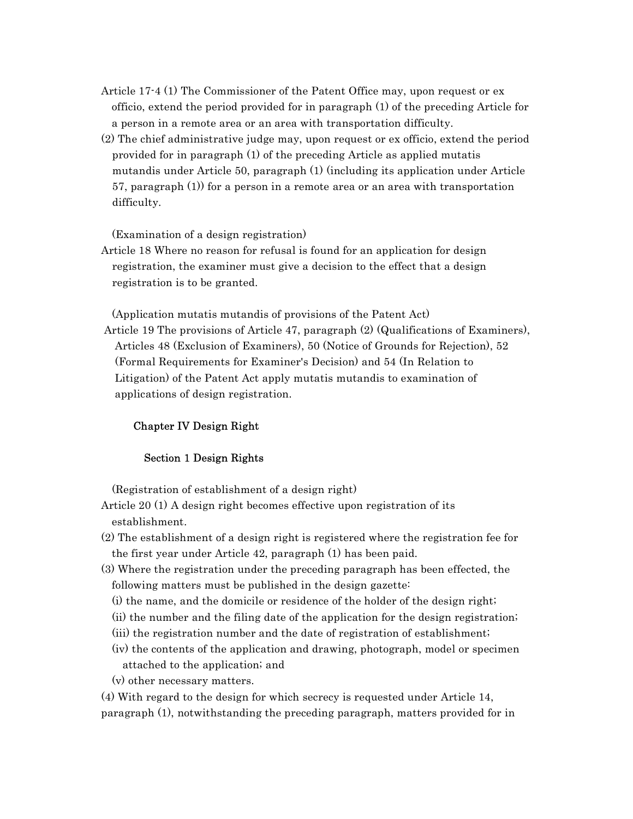- Article 17-4 (1) The Commissioner of the Patent Office may, upon request or ex officio, extend the period provided for in paragraph (1) of the preceding Article for a person in a remote area or an area with transportation difficulty.
- (2) The chief administrative judge may, upon request or ex officio, extend the period provided for in paragraph (1) of the preceding Article as applied mutatis mutandis under Article 50, paragraph (1) (including its application under Article 57, paragraph (1)) for a person in a remote area or an area with transportation difficulty.

(Examination of a design registration)

Article 18 Where no reason for refusal is found for an application for design registration, the examiner must give a decision to the effect that a design registration is to be granted.

(Application mutatis mutandis of provisions of the Patent Act)

Article 19 The provisions of Article 47, paragraph (2) (Qualifications of Examiners), Articles 48 (Exclusion of Examiners), 50 (Notice of Grounds for Rejection), 52 (Formal Requirements for Examiner's Decision) and 54 (In Relation to Litigation) of the Patent Act apply mutatis mutandis to examination of applications of design registration.

# Chapter IV Design Right

### Section 1 Design Rights

(Registration of establishment of a design right)

- Article 20 (1) A design right becomes effective upon registration of its establishment.
- (2) The establishment of a design right is registered where the registration fee for the first year under Article 42, paragraph (1) has been paid.
- (3) Where the registration under the preceding paragraph has been effected, the following matters must be published in the design gazette:
	- (i) the name, and the domicile or residence of the holder of the design right;
	- (ii) the number and the filing date of the application for the design registration;
	- (iii) the registration number and the date of registration of establishment;
	- (iv) the contents of the application and drawing, photograph, model or specimen attached to the application; and
	- (v) other necessary matters.

(4) With regard to the design for which secrecy is requested under Article 14, paragraph (1), notwithstanding the preceding paragraph, matters provided for in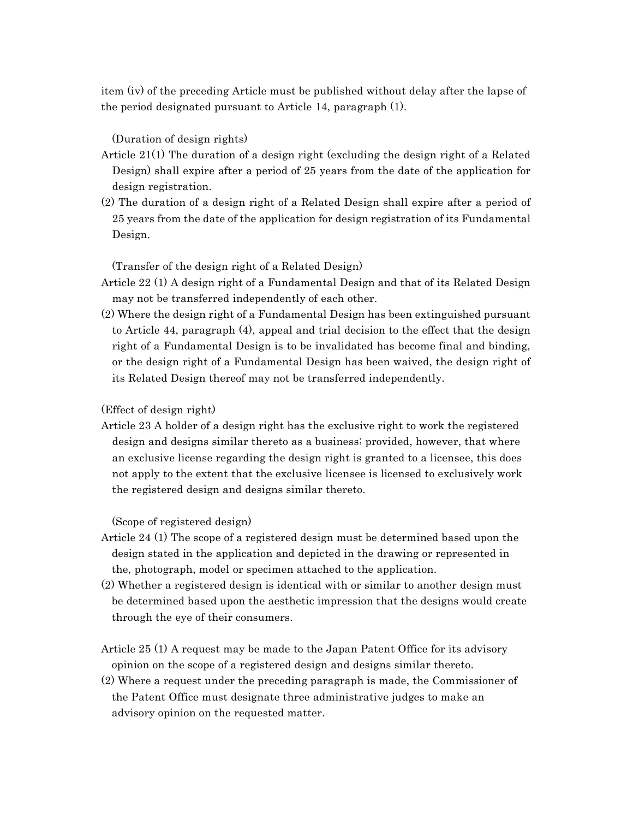item (iv) of the preceding Article must be published without delay after the lapse of the period designated pursuant to Article 14, paragraph (1).

(Duration of design rights)

- Article 21(1) The duration of a design right (excluding the design right of a Related Design) shall expire after a period of 25 years from the date of the application for design registration.
- (2) The duration of a design right of a Related Design shall expire after a period of 25 years from the date of the application for design registration of its Fundamental Design.

(Transfer of the design right of a Related Design)

- Article 22 (1) A design right of a Fundamental Design and that of its Related Design may not be transferred independently of each other.
- (2) Where the design right of a Fundamental Design has been extinguished pursuant to Article 44, paragraph (4), appeal and trial decision to the effect that the design right of a Fundamental Design is to be invalidated has become final and binding, or the design right of a Fundamental Design has been waived, the design right of its Related Design thereof may not be transferred independently.

# (Effect of design right)

Article 23 A holder of a design right has the exclusive right to work the registered design and designs similar thereto as a business; provided, however, that where an exclusive license regarding the design right is granted to a licensee, this does not apply to the extent that the exclusive licensee is licensed to exclusively work the registered design and designs similar thereto.

(Scope of registered design)

- Article 24 (1) The scope of a registered design must be determined based upon the design stated in the application and depicted in the drawing or represented in the, photograph, model or specimen attached to the application.
- (2) Whether a registered design is identical with or similar to another design must be determined based upon the aesthetic impression that the designs would create through the eye of their consumers.
- Article 25 (1) A request may be made to the Japan Patent Office for its advisory opinion on the scope of a registered design and designs similar thereto.
- (2) Where a request under the preceding paragraph is made, the Commissioner of the Patent Office must designate three administrative judges to make an advisory opinion on the requested matter.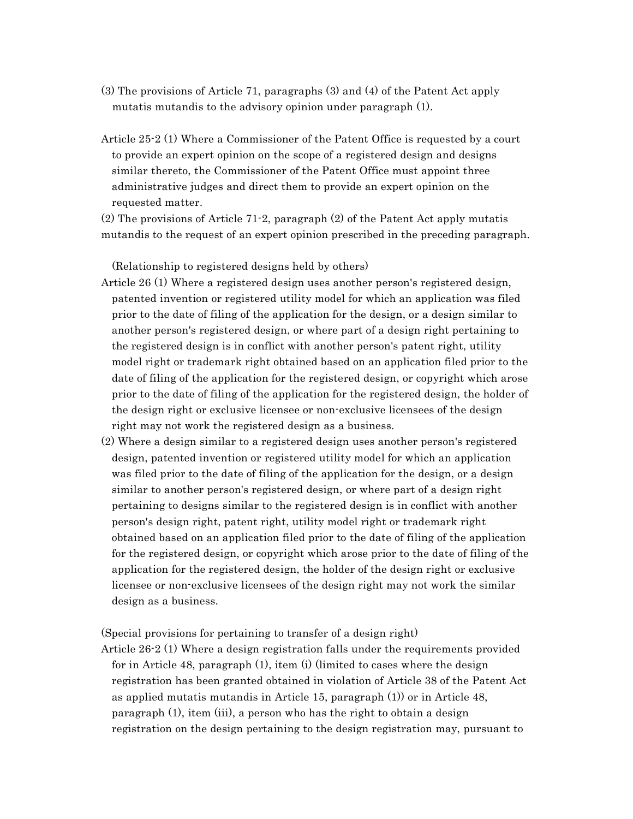- (3) The provisions of Article 71, paragraphs (3) and (4) of the Patent Act apply mutatis mutandis to the advisory opinion under paragraph (1).
- Article 25-2 (1) Where a Commissioner of the Patent Office is requested by a court to provide an expert opinion on the scope of a registered design and designs similar thereto, the Commissioner of the Patent Office must appoint three administrative judges and direct them to provide an expert opinion on the requested matter.

(2) The provisions of Article 71-2, paragraph (2) of the Patent Act apply mutatis mutandis to the request of an expert opinion prescribed in the preceding paragraph.

(Relationship to registered designs held by others)

- Article 26 (1) Where a registered design uses another person's registered design, patented invention or registered utility model for which an application was filed prior to the date of filing of the application for the design, or a design similar to another person's registered design, or where part of a design right pertaining to the registered design is in conflict with another person's patent right, utility model right or trademark right obtained based on an application filed prior to the date of filing of the application for the registered design, or copyright which arose prior to the date of filing of the application for the registered design, the holder of the design right or exclusive licensee or non-exclusive licensees of the design right may not work the registered design as a business.
- (2) Where a design similar to a registered design uses another person's registered design, patented invention or registered utility model for which an application was filed prior to the date of filing of the application for the design, or a design similar to another person's registered design, or where part of a design right pertaining to designs similar to the registered design is in conflict with another person's design right, patent right, utility model right or trademark right obtained based on an application filed prior to the date of filing of the application for the registered design, or copyright which arose prior to the date of filing of the application for the registered design, the holder of the design right or exclusive licensee or non-exclusive licensees of the design right may not work the similar design as a business.

(Special provisions for pertaining to transfer of a design right)

Article 26-2 (1) Where a design registration falls under the requirements provided for in Article 48, paragraph (1), item (i) (limited to cases where the design registration has been granted obtained in violation of Article 38 of the Patent Act as applied mutatis mutandis in Article 15, paragraph (1)) or in Article 48, paragraph (1), item (iii), a person who has the right to obtain a design registration on the design pertaining to the design registration may, pursuant to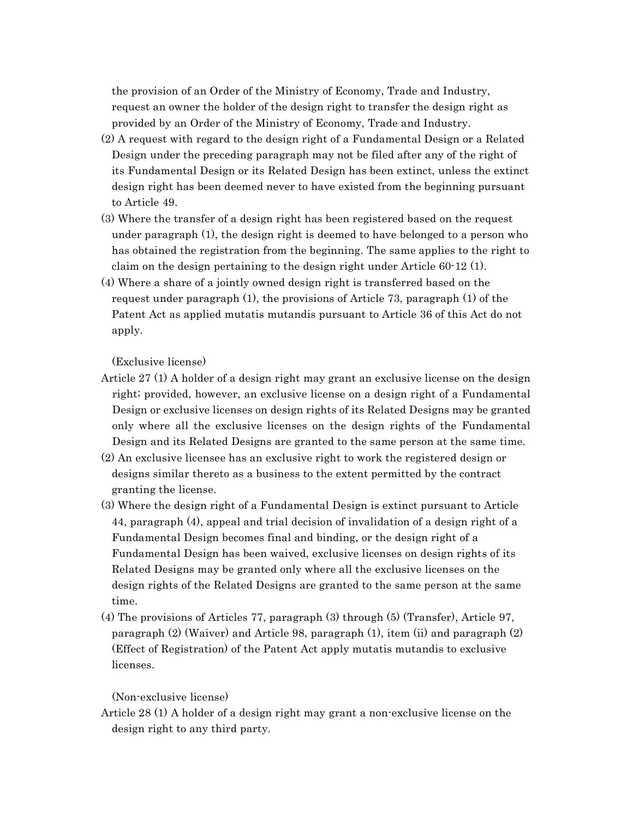the provision of an Order of the Ministry of Economy, Trade and Industry, request an owner the holder of the design right to transfer the design right as provided by an Order of the Ministry of Economy, Trade and Industry.

- (2) A request with regard to the design right of a Fundamental Design or a Related Design under the preceding paragraph may not be filed after any of the right of its Fundamental Design or its Related Design has been extinct, unless the extinct design right has been deemed never to have existed from the beginning pursuant to Article 49.
- (3) Where the transfer of a design right has been registered based on the request under paragraph (1), the design right is deemed to have belonged to a person who has obtained the registration from the beginning. The same applies to the right to claim on the design pertaining to the design right under Article 60-12 (1).
- (4) Where a share of a jointly owned design right is transferred based on the request under paragraph (1), the provisions of Article 73, paragraph (1) of the Patent Act as applied mutatis mutandis pursuant to Article 36 of this Act do not apply.

(Exclusive license)

- Article 27 (1) A holder of a design right may grant an exclusive license on the design right; provided, however, an exclusive license on a design right of a Fundamental Design or exclusive licenses on design rights of its Related Designs may be granted only where all the exclusive licenses on the design rights of the Fundamental Design and its Related Designs are granted to the same person at the same time.
- (2) An exclusive licensee has an exclusive right to work the registered design or designs similar thereto as a business to the extent permitted by the contract granting the license.
- (3) Where the design right of a Fundamental Design is extinct pursuant to Article 44, paragraph (4), appeal and trial decision of invalidation of a design right of a Fundamental Design becomes final and binding, or the design right of a Fundamental Design has been waived, exclusive licenses on design rights of its Related Designs may be granted only where all the exclusive licenses on the design rights of the Related Designs are granted to the same person at the same time.
- (4) The provisions of Articles 77, paragraph (3) through (5) (Transfer), Article 97, paragraph (2) (Waiver) and Article 98, paragraph (1), item (ii) and paragraph (2) (Effect of Registration) of the Patent Act apply mutatis mutandis to exclusive licenses.

### (Non-exclusive license)

Article 28 (1) A holder of a design right may grant a non-exclusive license on the design right to any third party.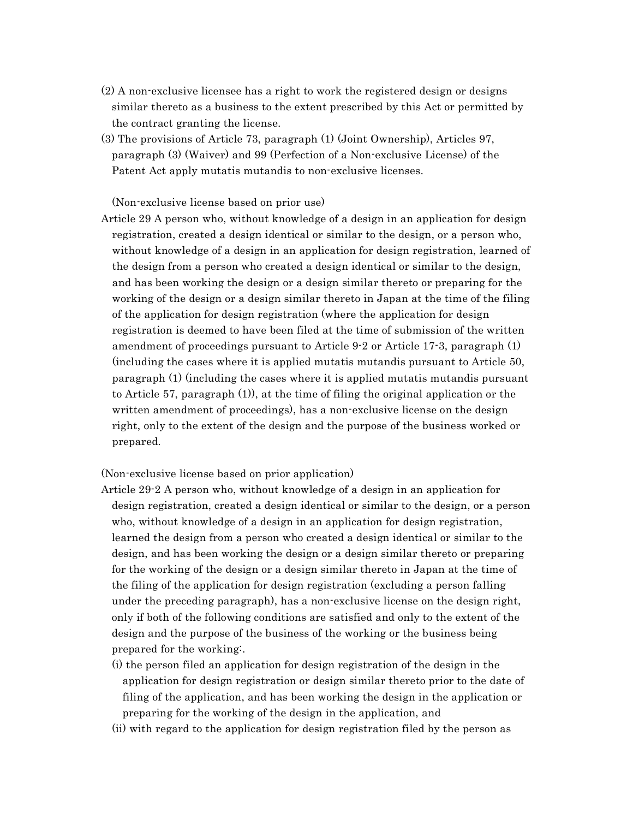- (2) A non-exclusive licensee has a right to work the registered design or designs similar thereto as a business to the extent prescribed by this Act or permitted by the contract granting the license.
- (3) The provisions of Article 73, paragraph (1) (Joint Ownership), Articles 97, paragraph (3) (Waiver) and 99 (Perfection of a Non-exclusive License) of the Patent Act apply mutatis mutandis to non-exclusive licenses.

(Non-exclusive license based on prior use)

Article 29 A person who, without knowledge of a design in an application for design registration, created a design identical or similar to the design, or a person who, without knowledge of a design in an application for design registration, learned of the design from a person who created a design identical or similar to the design, and has been working the design or a design similar thereto or preparing for the working of the design or a design similar thereto in Japan at the time of the filing of the application for design registration (where the application for design registration is deemed to have been filed at the time of submission of the written amendment of proceedings pursuant to Article 9-2 or Article 17-3, paragraph (1) (including the cases where it is applied mutatis mutandis pursuant to Article 50, paragraph (1) (including the cases where it is applied mutatis mutandis pursuant to Article 57, paragraph (1)), at the time of filing the original application or the written amendment of proceedings), has a non-exclusive license on the design right, only to the extent of the design and the purpose of the business worked or prepared.

(Non-exclusive license based on prior application)

- Article 29-2 A person who, without knowledge of a design in an application for design registration, created a design identical or similar to the design, or a person who, without knowledge of a design in an application for design registration, learned the design from a person who created a design identical or similar to the design, and has been working the design or a design similar thereto or preparing for the working of the design or a design similar thereto in Japan at the time of the filing of the application for design registration (excluding a person falling under the preceding paragraph), has a non-exclusive license on the design right, only if both of the following conditions are satisfied and only to the extent of the design and the purpose of the business of the working or the business being prepared for the working:.
	- (i) the person filed an application for design registration of the design in the application for design registration or design similar thereto prior to the date of filing of the application, and has been working the design in the application or preparing for the working of the design in the application, and
	- (ii) with regard to the application for design registration filed by the person as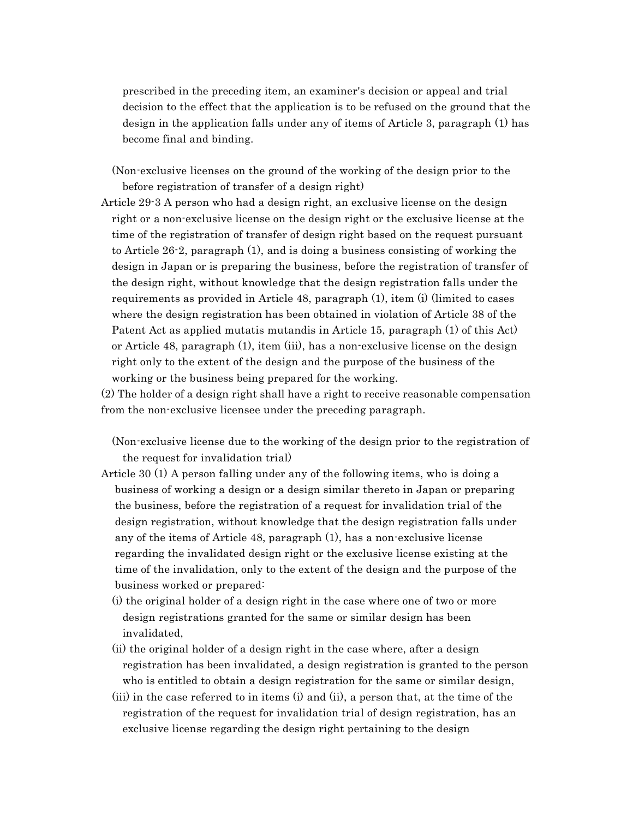prescribed in the preceding item, an examiner's decision or appeal and trial decision to the effect that the application is to be refused on the ground that the design in the application falls under any of items of Article 3, paragraph (1) has become final and binding.

(Non-exclusive licenses on the ground of the working of the design prior to the before registration of transfer of a design right)

Article 29-3 A person who had a design right, an exclusive license on the design right or a non-exclusive license on the design right or the exclusive license at the time of the registration of transfer of design right based on the request pursuant to Article 26-2, paragraph (1), and is doing a business consisting of working the design in Japan or is preparing the business, before the registration of transfer of the design right, without knowledge that the design registration falls under the requirements as provided in Article 48, paragraph (1), item (i) (limited to cases where the design registration has been obtained in violation of Article 38 of the Patent Act as applied mutatis mutandis in Article 15, paragraph (1) of this Act) or Article 48, paragraph (1), item (iii), has a non-exclusive license on the design right only to the extent of the design and the purpose of the business of the working or the business being prepared for the working.

(2) The holder of a design right shall have a right to receive reasonable compensation from the non-exclusive licensee under the preceding paragraph.

(Non-exclusive license due to the working of the design prior to the registration of the request for invalidation trial)

- Article 30 (1) A person falling under any of the following items, who is doing a business of working a design or a design similar thereto in Japan or preparing the business, before the registration of a request for invalidation trial of the design registration, without knowledge that the design registration falls under any of the items of Article 48, paragraph (1), has a non-exclusive license regarding the invalidated design right or the exclusive license existing at the time of the invalidation, only to the extent of the design and the purpose of the business worked or prepared:
	- (i) the original holder of a design right in the case where one of two or more design registrations granted for the same or similar design has been invalidated,
	- (ii) the original holder of a design right in the case where, after a design registration has been invalidated, a design registration is granted to the person who is entitled to obtain a design registration for the same or similar design,
	- (iii) in the case referred to in items (i) and (ii), a person that, at the time of the registration of the request for invalidation trial of design registration, has an exclusive license regarding the design right pertaining to the design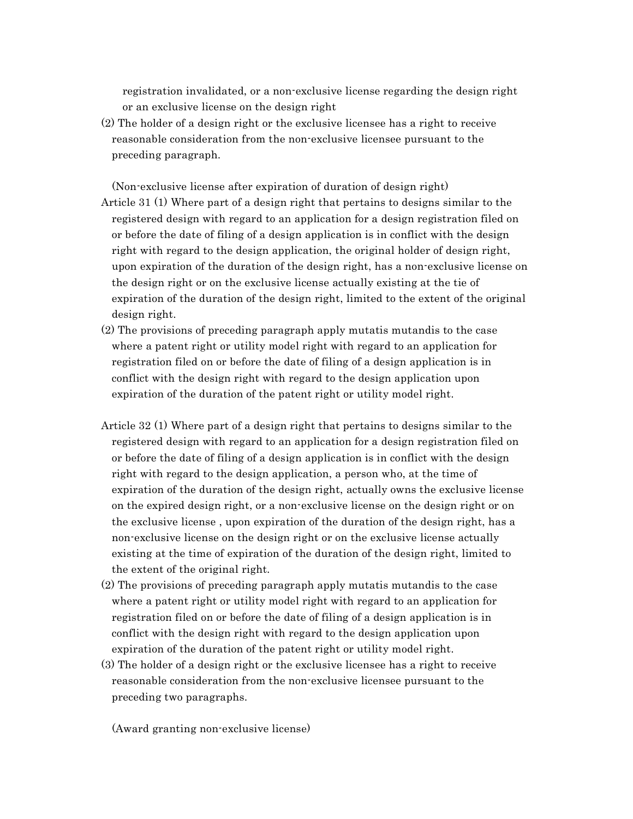registration invalidated, or a non-exclusive license regarding the design right or an exclusive license on the design right

(2) The holder of a design right or the exclusive licensee has a right to receive reasonable consideration from the non-exclusive licensee pursuant to the preceding paragraph.

(Non-exclusive license after expiration of duration of design right) Article 31 (1) Where part of a design right that pertains to designs similar to the registered design with regard to an application for a design registration filed on or before the date of filing of a design application is in conflict with the design right with regard to the design application, the original holder of design right, upon expiration of the duration of the design right, has a non-exclusive license on the design right or on the exclusive license actually existing at the tie of expiration of the duration of the design right, limited to the extent of the original design right.

- (2) The provisions of preceding paragraph apply mutatis mutandis to the case where a patent right or utility model right with regard to an application for registration filed on or before the date of filing of a design application is in conflict with the design right with regard to the design application upon expiration of the duration of the patent right or utility model right.
- Article 32 (1) Where part of a design right that pertains to designs similar to the registered design with regard to an application for a design registration filed on or before the date of filing of a design application is in conflict with the design right with regard to the design application, a person who, at the time of expiration of the duration of the design right, actually owns the exclusive license on the expired design right, or a non-exclusive license on the design right or on the exclusive license , upon expiration of the duration of the design right, has a non-exclusive license on the design right or on the exclusive license actually existing at the time of expiration of the duration of the design right, limited to the extent of the original right.
- (2) The provisions of preceding paragraph apply mutatis mutandis to the case where a patent right or utility model right with regard to an application for registration filed on or before the date of filing of a design application is in conflict with the design right with regard to the design application upon expiration of the duration of the patent right or utility model right.
- (3) The holder of a design right or the exclusive licensee has a right to receive reasonable consideration from the non-exclusive licensee pursuant to the preceding two paragraphs.

(Award granting non-exclusive license)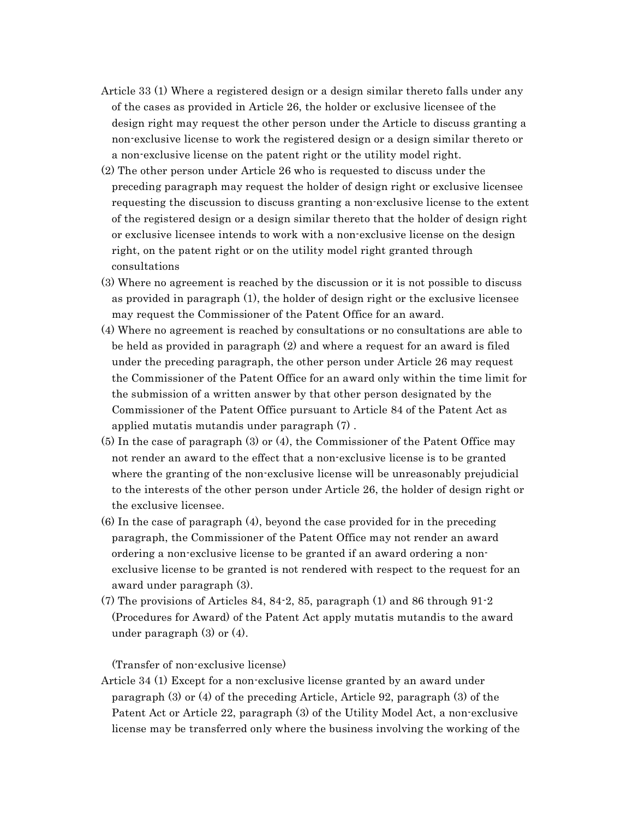- Article 33 (1) Where a registered design or a design similar thereto falls under any of the cases as provided in Article 26, the holder or exclusive licensee of the design right may request the other person under the Article to discuss granting a non-exclusive license to work the registered design or a design similar thereto or a non-exclusive license on the patent right or the utility model right.
- (2) The other person under Article 26 who is requested to discuss under the preceding paragraph may request the holder of design right or exclusive licensee requesting the discussion to discuss granting a non-exclusive license to the extent of the registered design or a design similar thereto that the holder of design right or exclusive licensee intends to work with a non-exclusive license on the design right, on the patent right or on the utility model right granted through consultations
- (3) Where no agreement is reached by the discussion or it is not possible to discuss as provided in paragraph (1), the holder of design right or the exclusive licensee may request the Commissioner of the Patent Office for an award.
- (4) Where no agreement is reached by consultations or no consultations are able to be held as provided in paragraph (2) and where a request for an award is filed under the preceding paragraph, the other person under Article 26 may request the Commissioner of the Patent Office for an award only within the time limit for the submission of a written answer by that other person designated by the Commissioner of the Patent Office pursuant to Article 84 of the Patent Act as applied mutatis mutandis under paragraph (7) .
- (5) In the case of paragraph (3) or (4), the Commissioner of the Patent Office may not render an award to the effect that a non-exclusive license is to be granted where the granting of the non-exclusive license will be unreasonably prejudicial to the interests of the other person under Article 26, the holder of design right or the exclusive licensee.
- (6) In the case of paragraph (4), beyond the case provided for in the preceding paragraph, the Commissioner of the Patent Office may not render an award ordering a non-exclusive license to be granted if an award ordering a nonexclusive license to be granted is not rendered with respect to the request for an award under paragraph (3).
- (7) The provisions of Articles 84, 84-2, 85, paragraph (1) and 86 through 91-2 (Procedures for Award) of the Patent Act apply mutatis mutandis to the award under paragraph (3) or (4).

# (Transfer of non-exclusive license)

Article 34 (1) Except for a non-exclusive license granted by an award under paragraph (3) or (4) of the preceding Article, Article 92, paragraph (3) of the Patent Act or Article 22, paragraph (3) of the Utility Model Act, a non-exclusive license may be transferred only where the business involving the working of the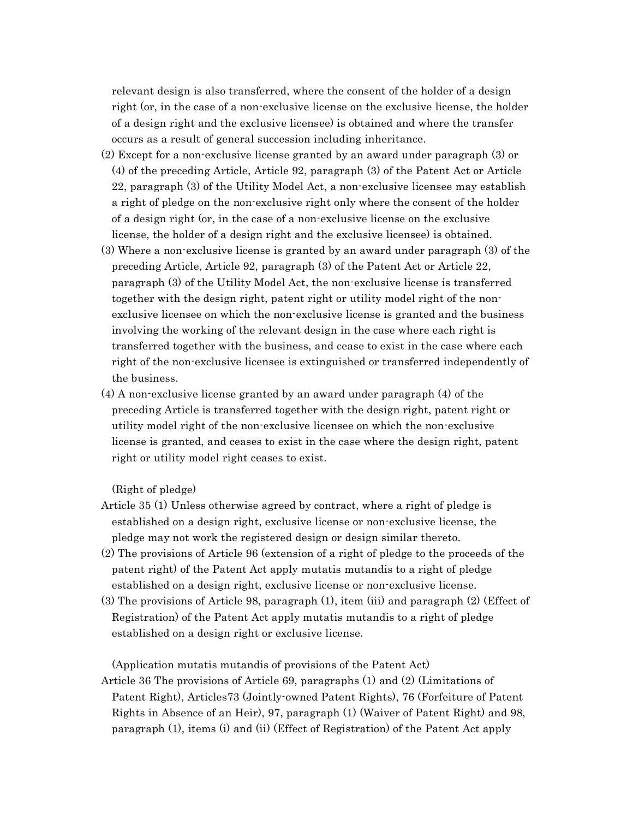relevant design is also transferred, where the consent of the holder of a design right (or, in the case of a non-exclusive license on the exclusive license, the holder of a design right and the exclusive licensee) is obtained and where the transfer occurs as a result of general succession including inheritance.

- (2) Except for a non-exclusive license granted by an award under paragraph (3) or (4) of the preceding Article, Article 92, paragraph (3) of the Patent Act or Article 22, paragraph (3) of the Utility Model Act, a non-exclusive licensee may establish a right of pledge on the non-exclusive right only where the consent of the holder of a design right (or, in the case of a non-exclusive license on the exclusive license, the holder of a design right and the exclusive licensee) is obtained.
- (3) Where a non-exclusive license is granted by an award under paragraph (3) of the preceding Article, Article 92, paragraph (3) of the Patent Act or Article 22, paragraph (3) of the Utility Model Act, the non-exclusive license is transferred together with the design right, patent right or utility model right of the nonexclusive licensee on which the non-exclusive license is granted and the business involving the working of the relevant design in the case where each right is transferred together with the business, and cease to exist in the case where each right of the non-exclusive licensee is extinguished or transferred independently of the business.
- (4) A non-exclusive license granted by an award under paragraph (4) of the preceding Article is transferred together with the design right, patent right or utility model right of the non-exclusive licensee on which the non-exclusive license is granted, and ceases to exist in the case where the design right, patent right or utility model right ceases to exist.

(Right of pledge)

- Article 35 (1) Unless otherwise agreed by contract, where a right of pledge is established on a design right, exclusive license or non-exclusive license, the pledge may not work the registered design or design similar thereto.
- (2) The provisions of Article 96 (extension of a right of pledge to the proceeds of the patent right) of the Patent Act apply mutatis mutandis to a right of pledge established on a design right, exclusive license or non-exclusive license.
- (3) The provisions of Article 98, paragraph (1), item (iii) and paragraph (2) (Effect of Registration) of the Patent Act apply mutatis mutandis to a right of pledge established on a design right or exclusive license.

(Application mutatis mutandis of provisions of the Patent Act)

Article 36 The provisions of Article 69, paragraphs (1) and (2) (Limitations of Patent Right), Articles73 (Jointly-owned Patent Rights), 76 (Forfeiture of Patent Rights in Absence of an Heir), 97, paragraph (1) (Waiver of Patent Right) and 98, paragraph (1), items (i) and (ii) (Effect of Registration) of the Patent Act apply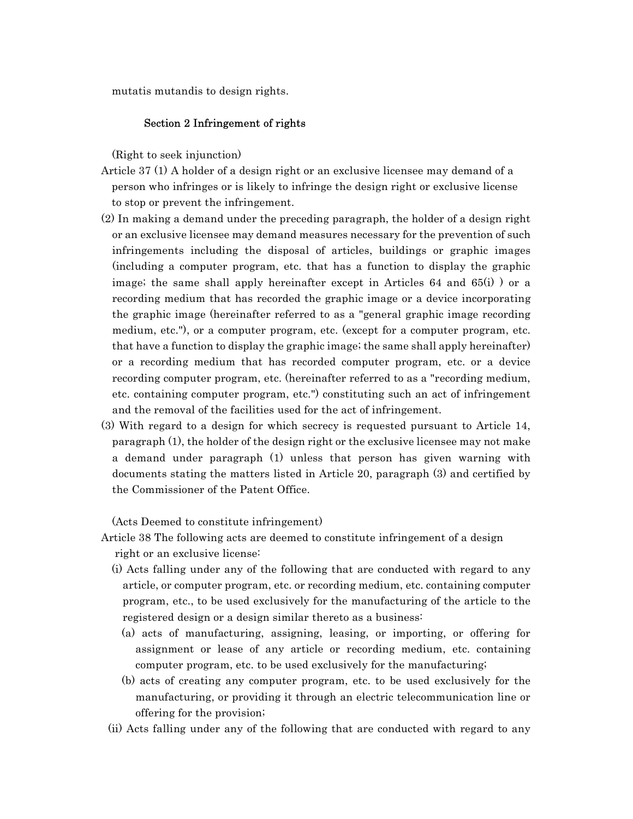mutatis mutandis to design rights.

### Section 2 Infringement of rights

(Right to seek injunction)

- Article 37 (1) A holder of a design right or an exclusive licensee may demand of a person who infringes or is likely to infringe the design right or exclusive license to stop or prevent the infringement.
- (2) In making a demand under the preceding paragraph, the holder of a design right or an exclusive licensee may demand measures necessary for the prevention of such infringements including the disposal of articles, buildings or graphic images (including a computer program, etc. that has a function to display the graphic image; the same shall apply hereinafter except in Articles 64 and 65(i) ) or a recording medium that has recorded the graphic image or a device incorporating the graphic image (hereinafter referred to as a "general graphic image recording medium, etc."), or a computer program, etc. (except for a computer program, etc. that have a function to display the graphic image; the same shall apply hereinafter) or a recording medium that has recorded computer program, etc. or a device recording computer program, etc. (hereinafter referred to as a "recording medium, etc. containing computer program, etc.") constituting such an act of infringement and the removal of the facilities used for the act of infringement.
- (3) With regard to a design for which secrecy is requested pursuant to Article 14, paragraph (1), the holder of the design right or the exclusive licensee may not make a demand under paragraph (1) unless that person has given warning with documents stating the matters listed in Article 20, paragraph (3) and certified by the Commissioner of the Patent Office.

(Acts Deemed to constitute infringement)

Article 38 The following acts are deemed to constitute infringement of a design right or an exclusive license:

- (i) Acts falling under any of the following that are conducted with regard to any article, or computer program, etc. or recording medium, etc. containing computer program, etc., to be used exclusively for the manufacturing of the article to the registered design or a design similar thereto as a business:
	- (a) acts of manufacturing, assigning, leasing, or importing, or offering for assignment or lease of any article or recording medium, etc. containing computer program, etc. to be used exclusively for the manufacturing;
	- (b) acts of creating any computer program, etc. to be used exclusively for the manufacturing, or providing it through an electric telecommunication line or offering for the provision;
- (ii) Acts falling under any of the following that are conducted with regard to any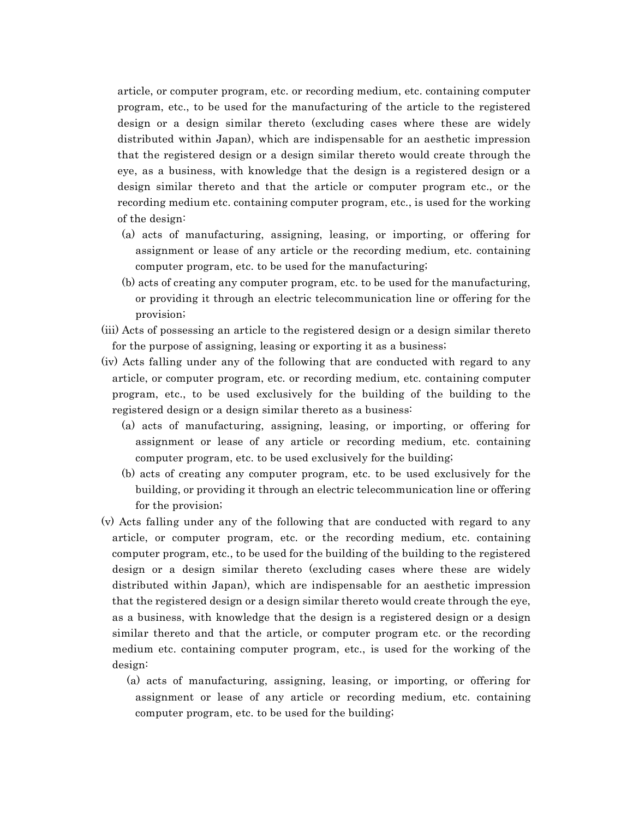article, or computer program, etc. or recording medium, etc. containing computer program, etc., to be used for the manufacturing of the article to the registered design or a design similar thereto (excluding cases where these are widely distributed within Japan), which are indispensable for an aesthetic impression that the registered design or a design similar thereto would create through the eye, as a business, with knowledge that the design is a registered design or a design similar thereto and that the article or computer program etc., or the recording medium etc. containing computer program, etc., is used for the working of the design:

- (a) acts of manufacturing, assigning, leasing, or importing, or offering for assignment or lease of any article or the recording medium, etc. containing computer program, etc. to be used for the manufacturing;
- (b) acts of creating any computer program, etc. to be used for the manufacturing, or providing it through an electric telecommunication line or offering for the provision;
- (iii) Acts of possessing an article to the registered design or a design similar thereto for the purpose of assigning, leasing or exporting it as a business;
- (iv) Acts falling under any of the following that are conducted with regard to any article, or computer program, etc. or recording medium, etc. containing computer program, etc., to be used exclusively for the building of the building to the registered design or a design similar thereto as a business:
	- (a) acts of manufacturing, assigning, leasing, or importing, or offering for assignment or lease of any article or recording medium, etc. containing computer program, etc. to be used exclusively for the building;
	- (b) acts of creating any computer program, etc. to be used exclusively for the building, or providing it through an electric telecommunication line or offering for the provision;
- (v) Acts falling under any of the following that are conducted with regard to any article, or computer program, etc. or the recording medium, etc. containing computer program, etc., to be used for the building of the building to the registered design or a design similar thereto (excluding cases where these are widely distributed within Japan), which are indispensable for an aesthetic impression that the registered design or a design similar thereto would create through the eye, as a business, with knowledge that the design is a registered design or a design similar thereto and that the article, or computer program etc. or the recording medium etc. containing computer program, etc., is used for the working of the design:
	- (a) acts of manufacturing, assigning, leasing, or importing, or offering for assignment or lease of any article or recording medium, etc. containing computer program, etc. to be used for the building;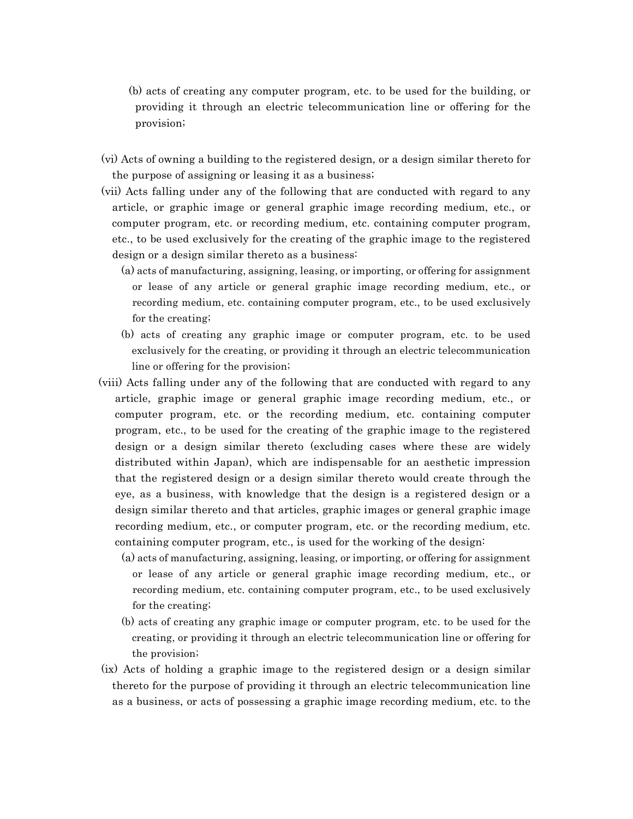- (b) acts of creating any computer program, etc. to be used for the building, or providing it through an electric telecommunication line or offering for the provision;
- (vi) Acts of owning a building to the registered design, or a design similar thereto for the purpose of assigning or leasing it as a business;
- (vii) Acts falling under any of the following that are conducted with regard to any article, or graphic image or general graphic image recording medium, etc., or computer program, etc. or recording medium, etc. containing computer program, etc., to be used exclusively for the creating of the graphic image to the registered design or a design similar thereto as a business:
	- (a) acts of manufacturing, assigning, leasing, or importing, or offering for assignment or lease of any article or general graphic image recording medium, etc., or recording medium, etc. containing computer program, etc., to be used exclusively for the creating;
	- (b) acts of creating any graphic image or computer program, etc. to be used exclusively for the creating, or providing it through an electric telecommunication line or offering for the provision;
- (viii) Acts falling under any of the following that are conducted with regard to any article, graphic image or general graphic image recording medium, etc., or computer program, etc. or the recording medium, etc. containing computer program, etc., to be used for the creating of the graphic image to the registered design or a design similar thereto (excluding cases where these are widely distributed within Japan), which are indispensable for an aesthetic impression that the registered design or a design similar thereto would create through the eye, as a business, with knowledge that the design is a registered design or a design similar thereto and that articles, graphic images or general graphic image recording medium, etc., or computer program, etc. or the recording medium, etc. containing computer program, etc., is used for the working of the design:
	- (a) acts of manufacturing, assigning, leasing, or importing, or offering for assignment or lease of any article or general graphic image recording medium, etc., or recording medium, etc. containing computer program, etc., to be used exclusively for the creating;
	- (b) acts of creating any graphic image or computer program, etc. to be used for the creating, or providing it through an electric telecommunication line or offering for the provision;
- (ix) Acts of holding a graphic image to the registered design or a design similar thereto for the purpose of providing it through an electric telecommunication line as a business, or acts of possessing a graphic image recording medium, etc. to the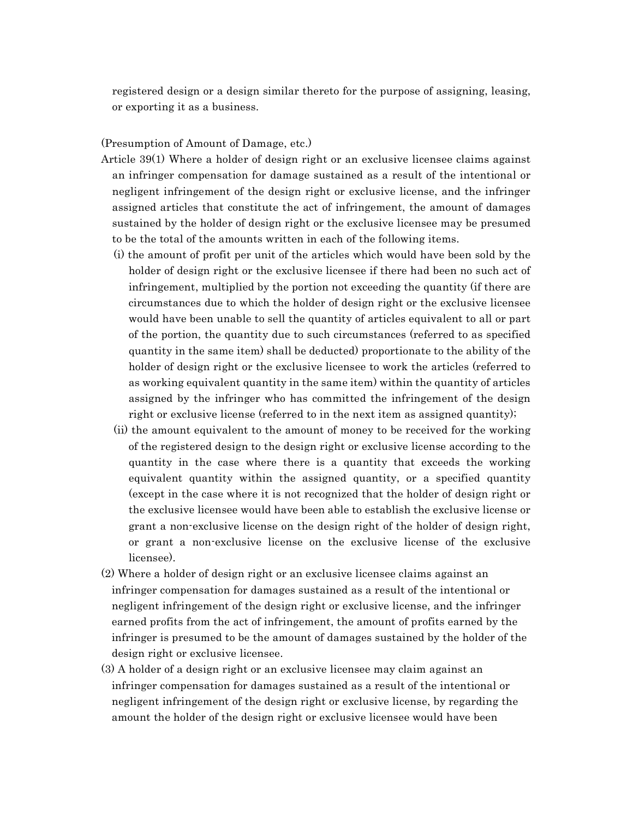registered design or a design similar thereto for the purpose of assigning, leasing, or exporting it as a business.

### (Presumption of Amount of Damage, etc.)

Article 39(1) Where a holder of design right or an exclusive licensee claims against an infringer compensation for damage sustained as a result of the intentional or negligent infringement of the design right or exclusive license, and the infringer assigned articles that constitute the act of infringement, the amount of damages sustained by the holder of design right or the exclusive licensee may be presumed to be the total of the amounts written in each of the following items.

- (i) the amount of profit per unit of the articles which would have been sold by the holder of design right or the exclusive licensee if there had been no such act of infringement, multiplied by the portion not exceeding the quantity (if there are circumstances due to which the holder of design right or the exclusive licensee would have been unable to sell the quantity of articles equivalent to all or part of the portion, the quantity due to such circumstances (referred to as specified quantity in the same item) shall be deducted) proportionate to the ability of the holder of design right or the exclusive licensee to work the articles (referred to as working equivalent quantity in the same item) within the quantity of articles assigned by the infringer who has committed the infringement of the design right or exclusive license (referred to in the next item as assigned quantity);
- (ii) the amount equivalent to the amount of money to be received for the working of the registered design to the design right or exclusive license according to the quantity in the case where there is a quantity that exceeds the working equivalent quantity within the assigned quantity, or a specified quantity (except in the case where it is not recognized that the holder of design right or the exclusive licensee would have been able to establish the exclusive license or grant a non-exclusive license on the design right of the holder of design right, or grant a non-exclusive license on the exclusive license of the exclusive licensee).
- (2) Where a holder of design right or an exclusive licensee claims against an infringer compensation for damages sustained as a result of the intentional or negligent infringement of the design right or exclusive license, and the infringer earned profits from the act of infringement, the amount of profits earned by the infringer is presumed to be the amount of damages sustained by the holder of the design right or exclusive licensee.
- (3) A holder of a design right or an exclusive licensee may claim against an infringer compensation for damages sustained as a result of the intentional or negligent infringement of the design right or exclusive license, by regarding the amount the holder of the design right or exclusive licensee would have been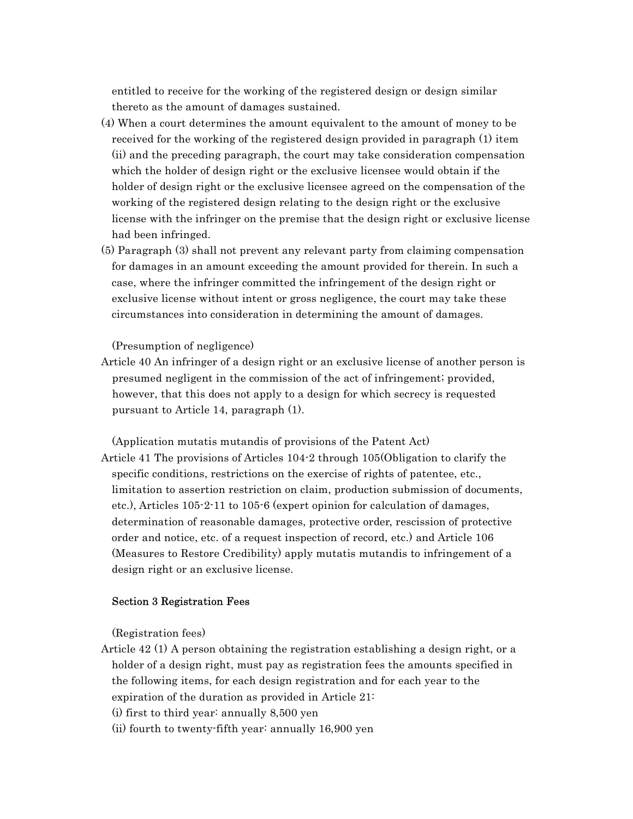entitled to receive for the working of the registered design or design similar thereto as the amount of damages sustained.

- (4) When a court determines the amount equivalent to the amount of money to be received for the working of the registered design provided in paragraph (1) item (ii) and the preceding paragraph, the court may take consideration compensation which the holder of design right or the exclusive licensee would obtain if the holder of design right or the exclusive licensee agreed on the compensation of the working of the registered design relating to the design right or the exclusive license with the infringer on the premise that the design right or exclusive license had been infringed.
- (5) Paragraph (3) shall not prevent any relevant party from claiming compensation for damages in an amount exceeding the amount provided for therein. In such a case, where the infringer committed the infringement of the design right or exclusive license without intent or gross negligence, the court may take these circumstances into consideration in determining the amount of damages.

### (Presumption of negligence)

Article 40 An infringer of a design right or an exclusive license of another person is presumed negligent in the commission of the act of infringement; provided, however, that this does not apply to a design for which secrecy is requested pursuant to Article 14, paragraph (1).

(Application mutatis mutandis of provisions of the Patent Act) Article 41 The provisions of Articles 104-2 through 105(Obligation to clarify the specific conditions, restrictions on the exercise of rights of patentee, etc., limitation to assertion restriction on claim, production submission of documents, etc.), Articles 105-2-11 to 105-6 (expert opinion for calculation of damages, determination of reasonable damages, protective order, rescission of protective order and notice, etc. of a request inspection of record, etc.) and Article 106 (Measures to Restore Credibility) apply mutatis mutandis to infringement of a design right or an exclusive license.

### Section 3 Registration Fees

(Registration fees)

Article 42 (1) A person obtaining the registration establishing a design right, or a holder of a design right, must pay as registration fees the amounts specified in the following items, for each design registration and for each year to the expiration of the duration as provided in Article 21:

(i) first to third year: annually 8,500 yen

(ii) fourth to twenty-fifth year: annually 16,900 yen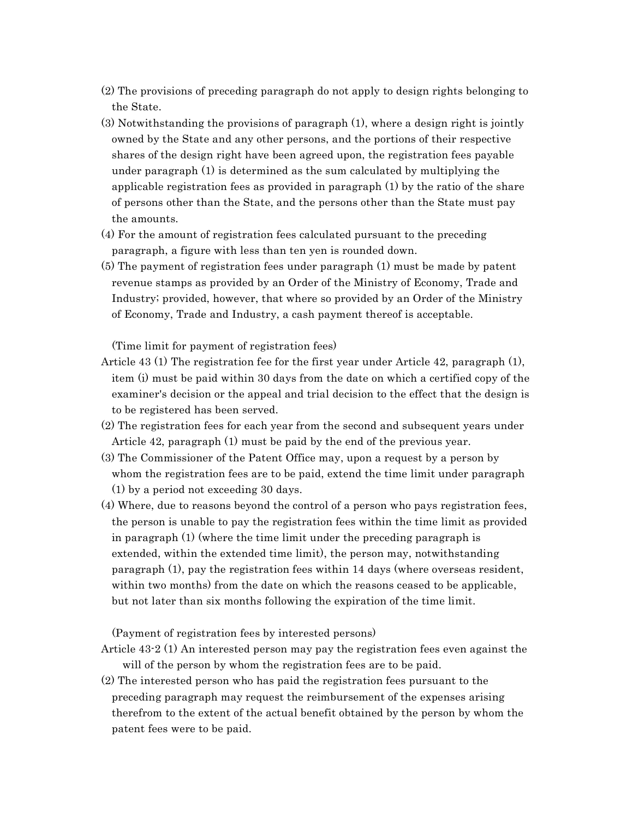- (2) The provisions of preceding paragraph do not apply to design rights belonging to the State.
- (3) Notwithstanding the provisions of paragraph (1), where a design right is jointly owned by the State and any other persons, and the portions of their respective shares of the design right have been agreed upon, the registration fees payable under paragraph (1) is determined as the sum calculated by multiplying the applicable registration fees as provided in paragraph (1) by the ratio of the share of persons other than the State, and the persons other than the State must pay the amounts.
- (4) For the amount of registration fees calculated pursuant to the preceding paragraph, a figure with less than ten yen is rounded down.
- (5) The payment of registration fees under paragraph (1) must be made by patent revenue stamps as provided by an Order of the Ministry of Economy, Trade and Industry; provided, however, that where so provided by an Order of the Ministry of Economy, Trade and Industry, a cash payment thereof is acceptable.

(Time limit for payment of registration fees)

- Article 43 (1) The registration fee for the first year under Article 42, paragraph (1), item (i) must be paid within 30 days from the date on which a certified copy of the examiner's decision or the appeal and trial decision to the effect that the design is to be registered has been served.
- (2) The registration fees for each year from the second and subsequent years under Article 42, paragraph (1) must be paid by the end of the previous year.
- (3) The Commissioner of the Patent Office may, upon a request by a person by whom the registration fees are to be paid, extend the time limit under paragraph (1) by a period not exceeding 30 days.
- (4) Where, due to reasons beyond the control of a person who pays registration fees, the person is unable to pay the registration fees within the time limit as provided in paragraph (1) (where the time limit under the preceding paragraph is extended, within the extended time limit), the person may, notwithstanding paragraph (1), pay the registration fees within 14 days (where overseas resident, within two months) from the date on which the reasons ceased to be applicable, but not later than six months following the expiration of the time limit.

(Payment of registration fees by interested persons)

- Article 43-2 (1) An interested person may pay the registration fees even against the will of the person by whom the registration fees are to be paid.
- (2) The interested person who has paid the registration fees pursuant to the preceding paragraph may request the reimbursement of the expenses arising therefrom to the extent of the actual benefit obtained by the person by whom the patent fees were to be paid.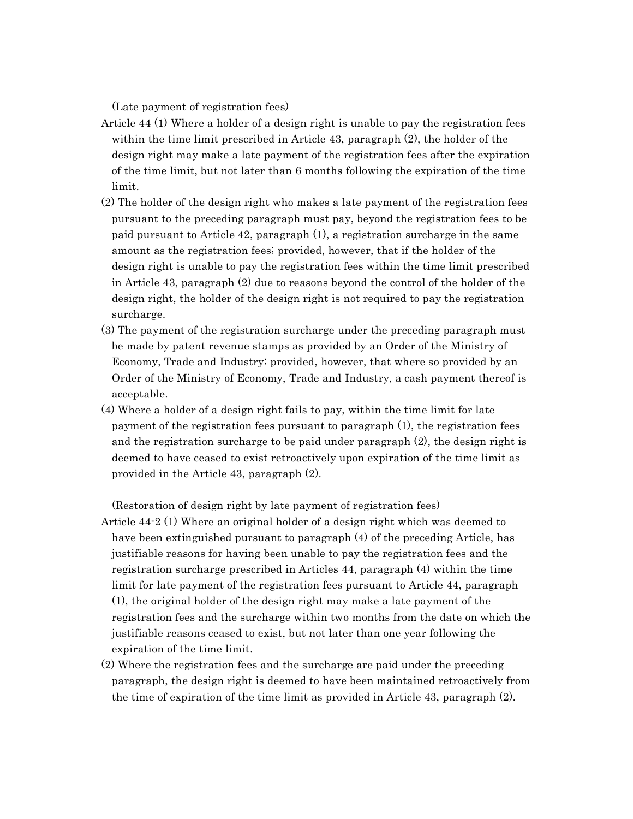(Late payment of registration fees)

- Article 44 (1) Where a holder of a design right is unable to pay the registration fees within the time limit prescribed in Article 43, paragraph (2), the holder of the design right may make a late payment of the registration fees after the expiration of the time limit, but not later than 6 months following the expiration of the time limit.
- (2) The holder of the design right who makes a late payment of the registration fees pursuant to the preceding paragraph must pay, beyond the registration fees to be paid pursuant to Article 42, paragraph (1), a registration surcharge in the same amount as the registration fees; provided, however, that if the holder of the design right is unable to pay the registration fees within the time limit prescribed in Article 43, paragraph (2) due to reasons beyond the control of the holder of the design right, the holder of the design right is not required to pay the registration surcharge.
- (3) The payment of the registration surcharge under the preceding paragraph must be made by patent revenue stamps as provided by an Order of the Ministry of Economy, Trade and Industry; provided, however, that where so provided by an Order of the Ministry of Economy, Trade and Industry, a cash payment thereof is acceptable.
- (4) Where a holder of a design right fails to pay, within the time limit for late payment of the registration fees pursuant to paragraph (1), the registration fees and the registration surcharge to be paid under paragraph (2), the design right is deemed to have ceased to exist retroactively upon expiration of the time limit as provided in the Article 43, paragraph (2).

(Restoration of design right by late payment of registration fees)

- Article 44-2 (1) Where an original holder of a design right which was deemed to have been extinguished pursuant to paragraph (4) of the preceding Article, has justifiable reasons for having been unable to pay the registration fees and the registration surcharge prescribed in Articles 44, paragraph (4) within the time limit for late payment of the registration fees pursuant to Article 44, paragraph (1), the original holder of the design right may make a late payment of the registration fees and the surcharge within two months from the date on which the justifiable reasons ceased to exist, but not later than one year following the expiration of the time limit.
- (2) Where the registration fees and the surcharge are paid under the preceding paragraph, the design right is deemed to have been maintained retroactively from the time of expiration of the time limit as provided in Article 43, paragraph (2).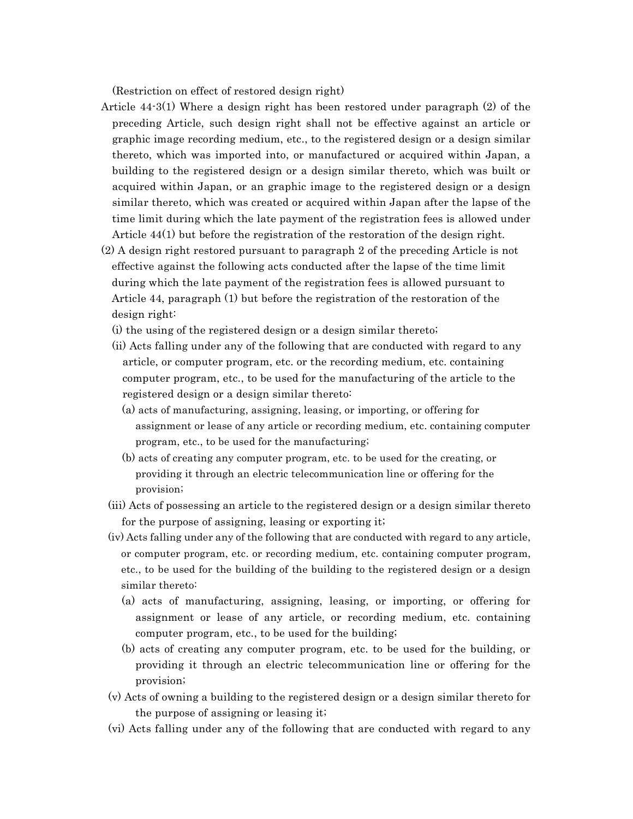(Restriction on effect of restored design right)

- Article 44-3(1) Where a design right has been restored under paragraph (2) of the preceding Article, such design right shall not be effective against an article or graphic image recording medium, etc., to the registered design or a design similar thereto, which was imported into, or manufactured or acquired within Japan, a building to the registered design or a design similar thereto, which was built or acquired within Japan, or an graphic image to the registered design or a design similar thereto, which was created or acquired within Japan after the lapse of the time limit during which the late payment of the registration fees is allowed under Article 44(1) but before the registration of the restoration of the design right.
- (2) A design right restored pursuant to paragraph 2 of the preceding Article is not effective against the following acts conducted after the lapse of the time limit during which the late payment of the registration fees is allowed pursuant to Article 44, paragraph (1) but before the registration of the restoration of the design right:
	- (i) the using of the registered design or a design similar thereto;
	- (ii) Acts falling under any of the following that are conducted with regard to any article, or computer program, etc. or the recording medium, etc. containing computer program, etc., to be used for the manufacturing of the article to the registered design or a design similar thereto:
		- (a) acts of manufacturing, assigning, leasing, or importing, or offering for assignment or lease of any article or recording medium, etc. containing computer program, etc., to be used for the manufacturing;
		- (b) acts of creating any computer program, etc. to be used for the creating, or providing it through an electric telecommunication line or offering for the provision;
	- (iii) Acts of possessing an article to the registered design or a design similar thereto for the purpose of assigning, leasing or exporting it;
	- (iv) Acts falling under any of the following that are conducted with regard to any article, or computer program, etc. or recording medium, etc. containing computer program, etc., to be used for the building of the building to the registered design or a design similar thereto:
		- (a) acts of manufacturing, assigning, leasing, or importing, or offering for assignment or lease of any article, or recording medium, etc. containing computer program, etc., to be used for the building;
		- (b) acts of creating any computer program, etc. to be used for the building, or providing it through an electric telecommunication line or offering for the provision;
	- (v) Acts of owning a building to the registered design or a design similar thereto for the purpose of assigning or leasing it;
	- (vi) Acts falling under any of the following that are conducted with regard to any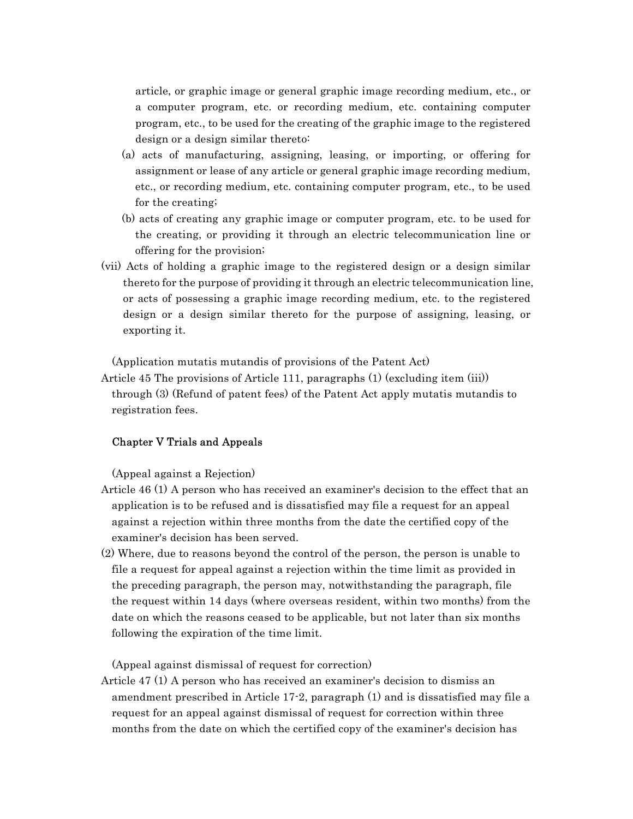article, or graphic image or general graphic image recording medium, etc., or a computer program, etc. or recording medium, etc. containing computer program, etc., to be used for the creating of the graphic image to the registered design or a design similar thereto:

- (a) acts of manufacturing, assigning, leasing, or importing, or offering for assignment or lease of any article or general graphic image recording medium, etc., or recording medium, etc. containing computer program, etc., to be used for the creating;
- (b) acts of creating any graphic image or computer program, etc. to be used for the creating, or providing it through an electric telecommunication line or offering for the provision;
- (vii) Acts of holding a graphic image to the registered design or a design similar thereto for the purpose of providing it through an electric telecommunication line, or acts of possessing a graphic image recording medium, etc. to the registered design or a design similar thereto for the purpose of assigning, leasing, or exporting it.

(Application mutatis mutandis of provisions of the Patent Act)

Article 45 The provisions of Article 111, paragraphs (1) (excluding item (iii)) through (3) (Refund of patent fees) of the Patent Act apply mutatis mutandis to registration fees.

### Chapter V Trials and Appeals

(Appeal against a Rejection)

- Article 46 (1) A person who has received an examiner's decision to the effect that an application is to be refused and is dissatisfied may file a request for an appeal against a rejection within three months from the date the certified copy of the examiner's decision has been served.
- (2) Where, due to reasons beyond the control of the person, the person is unable to file a request for appeal against a rejection within the time limit as provided in the preceding paragraph, the person may, notwithstanding the paragraph, file the request within 14 days (where overseas resident, within two months) from the date on which the reasons ceased to be applicable, but not later than six months following the expiration of the time limit.

(Appeal against dismissal of request for correction)

Article 47 (1) A person who has received an examiner's decision to dismiss an amendment prescribed in Article 17-2, paragraph (1) and is dissatisfied may file a request for an appeal against dismissal of request for correction within three months from the date on which the certified copy of the examiner's decision has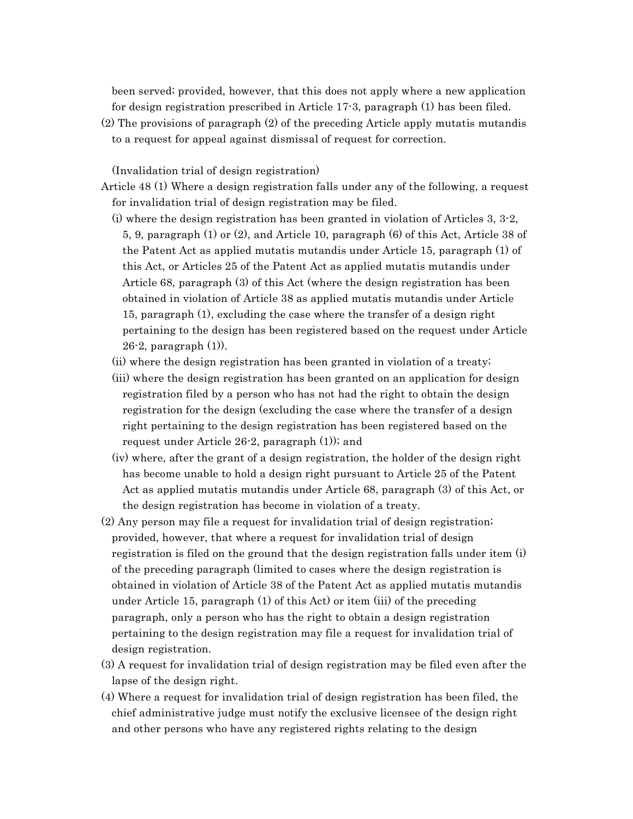been served; provided, however, that this does not apply where a new application for design registration prescribed in Article 17-3, paragraph (1) has been filed.

(2) The provisions of paragraph (2) of the preceding Article apply mutatis mutandis to a request for appeal against dismissal of request for correction.

(Invalidation trial of design registration)

- Article 48 (1) Where a design registration falls under any of the following, a request for invalidation trial of design registration may be filed.
	- (i) where the design registration has been granted in violation of Articles 3, 3-2, 5, 9, paragraph (1) or (2), and Article 10, paragraph (6) of this Act, Article 38 of the Patent Act as applied mutatis mutandis under Article 15, paragraph (1) of this Act, or Articles 25 of the Patent Act as applied mutatis mutandis under Article 68, paragraph (3) of this Act (where the design registration has been obtained in violation of Article 38 as applied mutatis mutandis under Article 15, paragraph (1), excluding the case where the transfer of a design right pertaining to the design has been registered based on the request under Article 26-2, paragraph (1)).
	- (ii) where the design registration has been granted in violation of a treaty;
	- (iii) where the design registration has been granted on an application for design registration filed by a person who has not had the right to obtain the design registration for the design (excluding the case where the transfer of a design right pertaining to the design registration has been registered based on the request under Article 26-2, paragraph (1)); and
	- (iv) where, after the grant of a design registration, the holder of the design right has become unable to hold a design right pursuant to Article 25 of the Patent Act as applied mutatis mutandis under Article 68, paragraph (3) of this Act, or the design registration has become in violation of a treaty.
- (2) Any person may file a request for invalidation trial of design registration; provided, however, that where a request for invalidation trial of design registration is filed on the ground that the design registration falls under item (i) of the preceding paragraph (limited to cases where the design registration is obtained in violation of Article 38 of the Patent Act as applied mutatis mutandis under Article 15, paragraph (1) of this Act) or item (iii) of the preceding paragraph, only a person who has the right to obtain a design registration pertaining to the design registration may file a request for invalidation trial of design registration.
- (3) A request for invalidation trial of design registration may be filed even after the lapse of the design right.
- (4) Where a request for invalidation trial of design registration has been filed, the chief administrative judge must notify the exclusive licensee of the design right and other persons who have any registered rights relating to the design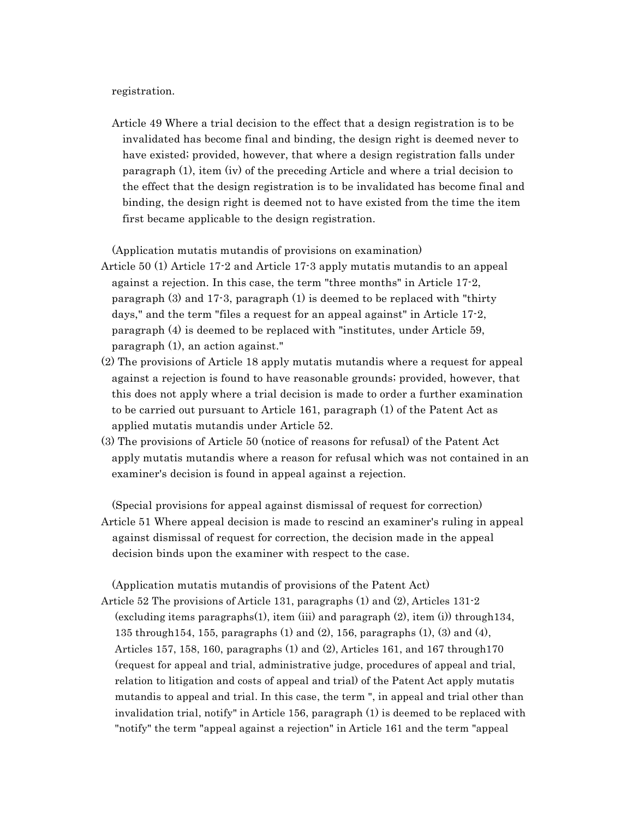registration.

Article 49 Where a trial decision to the effect that a design registration is to be invalidated has become final and binding, the design right is deemed never to have existed; provided, however, that where a design registration falls under paragraph (1), item (iv) of the preceding Article and where a trial decision to the effect that the design registration is to be invalidated has become final and binding, the design right is deemed not to have existed from the time the item first became applicable to the design registration.

(Application mutatis mutandis of provisions on examination)

- Article 50 (1) Article 17-2 and Article 17-3 apply mutatis mutandis to an appeal against a rejection. In this case, the term "three months" in Article 17-2, paragraph (3) and 17-3, paragraph (1) is deemed to be replaced with "thirty days," and the term "files a request for an appeal against" in Article 17-2, paragraph (4) is deemed to be replaced with "institutes, under Article 59, paragraph (1), an action against."
- (2) The provisions of Article 18 apply mutatis mutandis where a request for appeal against a rejection is found to have reasonable grounds; provided, however, that this does not apply where a trial decision is made to order a further examination to be carried out pursuant to Article 161, paragraph (1) of the Patent Act as applied mutatis mutandis under Article 52.
- (3) The provisions of Article 50 (notice of reasons for refusal) of the Patent Act apply mutatis mutandis where a reason for refusal which was not contained in an examiner's decision is found in appeal against a rejection.

(Special provisions for appeal against dismissal of request for correction) Article 51 Where appeal decision is made to rescind an examiner's ruling in appeal against dismissal of request for correction, the decision made in the appeal decision binds upon the examiner with respect to the case.

(Application mutatis mutandis of provisions of the Patent Act) Article 52 The provisions of Article 131, paragraphs (1) and (2), Articles 131-2 (excluding items paragraphs(1), item (iii) and paragraph (2), item (i)) through134, 135 through154, 155, paragraphs (1) and (2), 156, paragraphs (1), (3) and (4), Articles 157, 158, 160, paragraphs  $(1)$  and  $(2)$ , Articles 161, and 167 through 170 (request for appeal and trial, administrative judge, procedures of appeal and trial, relation to litigation and costs of appeal and trial) of the Patent Act apply mutatis mutandis to appeal and trial. In this case, the term ", in appeal and trial other than invalidation trial, notify" in Article 156, paragraph (1) is deemed to be replaced with "notify" the term "appeal against a rejection" in Article 161 and the term "appeal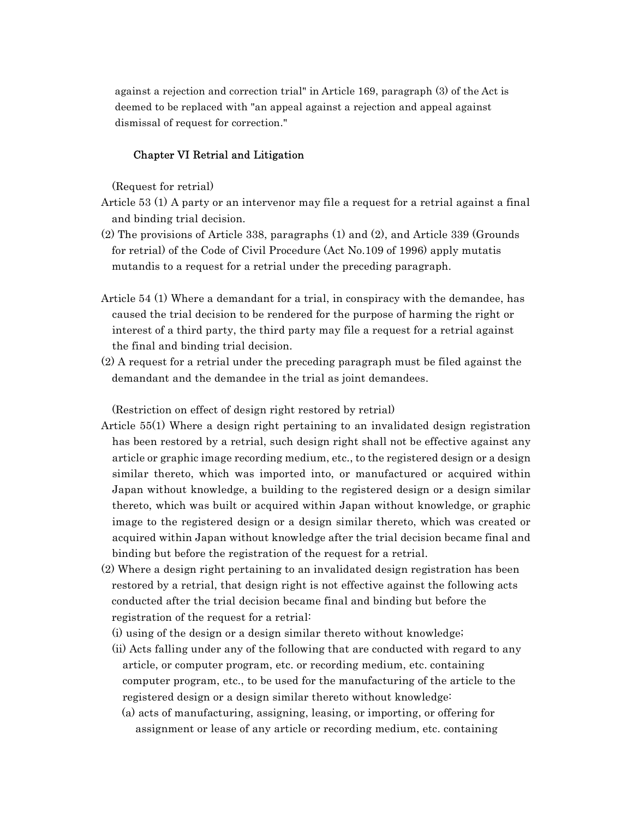against a rejection and correction trial" in Article 169, paragraph (3) of the Act is deemed to be replaced with "an appeal against a rejection and appeal against dismissal of request for correction."

### Chapter VI Retrial and Litigation

(Request for retrial)

- Article 53 (1) A party or an intervenor may file a request for a retrial against a final and binding trial decision.
- (2) The provisions of Article 338, paragraphs (1) and (2), and Article 339 (Grounds for retrial) of the Code of Civil Procedure (Act No.109 of 1996) apply mutatis mutandis to a request for a retrial under the preceding paragraph.
- Article 54 (1) Where a demandant for a trial, in conspiracy with the demandee, has caused the trial decision to be rendered for the purpose of harming the right or interest of a third party, the third party may file a request for a retrial against the final and binding trial decision.
- (2) A request for a retrial under the preceding paragraph must be filed against the demandant and the demandee in the trial as joint demandees.

(Restriction on effect of design right restored by retrial)

- Article 55(1) Where a design right pertaining to an invalidated design registration has been restored by a retrial, such design right shall not be effective against any article or graphic image recording medium, etc., to the registered design or a design similar thereto, which was imported into, or manufactured or acquired within Japan without knowledge, a building to the registered design or a design similar thereto, which was built or acquired within Japan without knowledge, or graphic image to the registered design or a design similar thereto, which was created or acquired within Japan without knowledge after the trial decision became final and binding but before the registration of the request for a retrial.
- (2) Where a design right pertaining to an invalidated design registration has been restored by a retrial, that design right is not effective against the following acts conducted after the trial decision became final and binding but before the registration of the request for a retrial:
	- (i) using of the design or a design similar thereto without knowledge;
	- (ii) Acts falling under any of the following that are conducted with regard to any article, or computer program, etc. or recording medium, etc. containing computer program, etc., to be used for the manufacturing of the article to the registered design or a design similar thereto without knowledge:
		- (a) acts of manufacturing, assigning, leasing, or importing, or offering for assignment or lease of any article or recording medium, etc. containing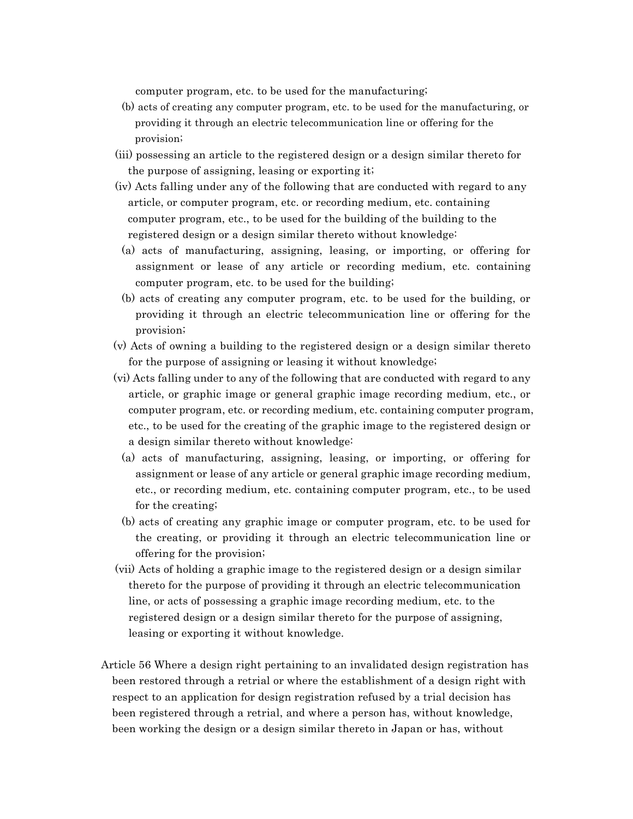computer program, etc. to be used for the manufacturing;

- (b) acts of creating any computer program, etc. to be used for the manufacturing, or providing it through an electric telecommunication line or offering for the provision;
- (iii) possessing an article to the registered design or a design similar thereto for the purpose of assigning, leasing or exporting it;
- (iv) Acts falling under any of the following that are conducted with regard to any article, or computer program, etc. or recording medium, etc. containing computer program, etc., to be used for the building of the building to the registered design or a design similar thereto without knowledge:
	- (a) acts of manufacturing, assigning, leasing, or importing, or offering for assignment or lease of any article or recording medium, etc. containing computer program, etc. to be used for the building;
	- (b) acts of creating any computer program, etc. to be used for the building, or providing it through an electric telecommunication line or offering for the provision;
- (v) Acts of owning a building to the registered design or a design similar thereto for the purpose of assigning or leasing it without knowledge;
- (vi) Acts falling under to any of the following that are conducted with regard to any article, or graphic image or general graphic image recording medium, etc., or computer program, etc. or recording medium, etc. containing computer program, etc., to be used for the creating of the graphic image to the registered design or a design similar thereto without knowledge:
	- (a) acts of manufacturing, assigning, leasing, or importing, or offering for assignment or lease of any article or general graphic image recording medium, etc., or recording medium, etc. containing computer program, etc., to be used for the creating;
	- (b) acts of creating any graphic image or computer program, etc. to be used for the creating, or providing it through an electric telecommunication line or offering for the provision;
- (vii) Acts of holding a graphic image to the registered design or a design similar thereto for the purpose of providing it through an electric telecommunication line, or acts of possessing a graphic image recording medium, etc. to the registered design or a design similar thereto for the purpose of assigning, leasing or exporting it without knowledge.
- Article 56 Where a design right pertaining to an invalidated design registration has been restored through a retrial or where the establishment of a design right with respect to an application for design registration refused by a trial decision has been registered through a retrial, and where a person has, without knowledge, been working the design or a design similar thereto in Japan or has, without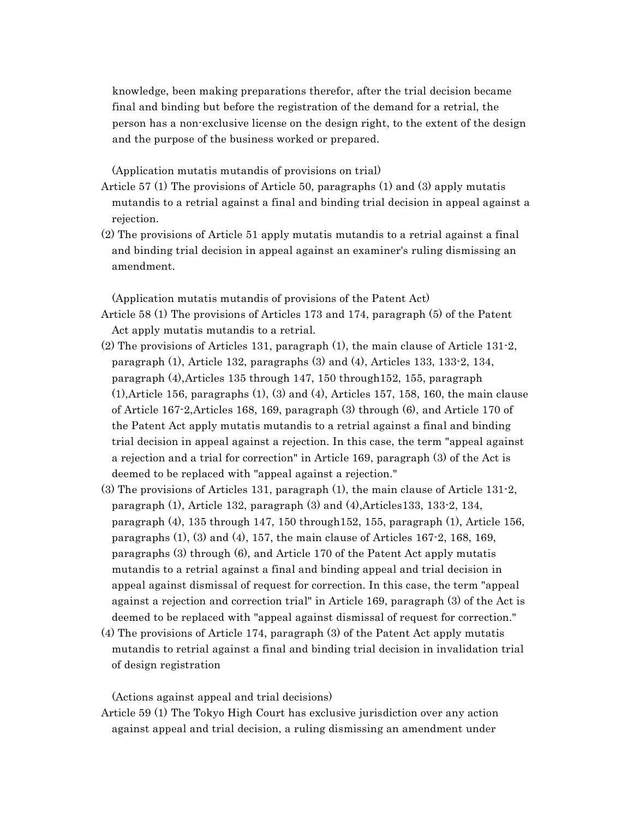knowledge, been making preparations therefor, after the trial decision became final and binding but before the registration of the demand for a retrial, the person has a non-exclusive license on the design right, to the extent of the design and the purpose of the business worked or prepared.

(Application mutatis mutandis of provisions on trial)

- Article 57 (1) The provisions of Article 50, paragraphs (1) and (3) apply mutatis mutandis to a retrial against a final and binding trial decision in appeal against a rejection.
- (2) The provisions of Article 51 apply mutatis mutandis to a retrial against a final and binding trial decision in appeal against an examiner's ruling dismissing an amendment.

(Application mutatis mutandis of provisions of the Patent Act)

- Article 58 (1) The provisions of Articles 173 and 174, paragraph (5) of the Patent Act apply mutatis mutandis to a retrial.
- (2) The provisions of Articles 131, paragraph (1), the main clause of Article 131-2, paragraph (1), Article 132, paragraphs (3) and (4), Articles 133, 133-2, 134, paragraph (4),Articles 135 through 147, 150 through152, 155, paragraph (1),Article 156, paragraphs (1), (3) and (4), Articles 157, 158, 160, the main clause of Article 167-2,Articles 168, 169, paragraph (3) through (6), and Article 170 of the Patent Act apply mutatis mutandis to a retrial against a final and binding trial decision in appeal against a rejection. In this case, the term "appeal against a rejection and a trial for correction" in Article 169, paragraph (3) of the Act is deemed to be replaced with "appeal against a rejection."
- (3) The provisions of Articles 131, paragraph (1), the main clause of Article 131-2, paragraph (1), Article 132, paragraph (3) and (4),Articles133, 133-2, 134, paragraph (4), 135 through 147, 150 through152, 155, paragraph (1), Article 156, paragraphs  $(1)$ ,  $(3)$  and  $(4)$ ,  $157$ , the main clause of Articles 167 $-2$ , 168, 169, paragraphs (3) through (6), and Article 170 of the Patent Act apply mutatis mutandis to a retrial against a final and binding appeal and trial decision in appeal against dismissal of request for correction. In this case, the term "appeal against a rejection and correction trial" in Article 169, paragraph (3) of the Act is deemed to be replaced with "appeal against dismissal of request for correction."
- (4) The provisions of Article 174, paragraph (3) of the Patent Act apply mutatis mutandis to retrial against a final and binding trial decision in invalidation trial of design registration

(Actions against appeal and trial decisions)

Article 59 (1) The Tokyo High Court has exclusive jurisdiction over any action against appeal and trial decision, a ruling dismissing an amendment under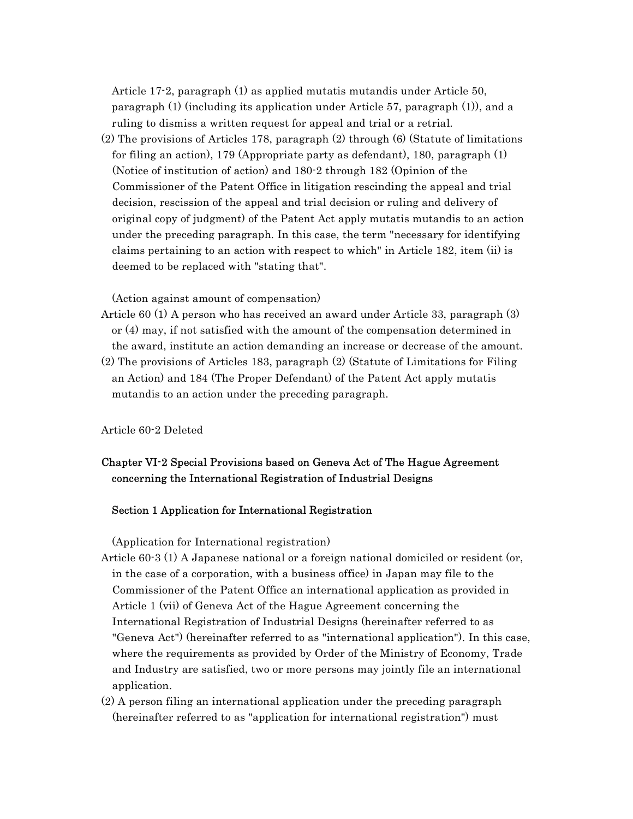Article 17-2, paragraph (1) as applied mutatis mutandis under Article 50, paragraph (1) (including its application under Article 57, paragraph (1)), and a ruling to dismiss a written request for appeal and trial or a retrial.

(2) The provisions of Articles 178, paragraph (2) through (6) (Statute of limitations for filing an action), 179 (Appropriate party as defendant), 180, paragraph (1) (Notice of institution of action) and 180-2 through 182 (Opinion of the Commissioner of the Patent Office in litigation rescinding the appeal and trial decision, rescission of the appeal and trial decision or ruling and delivery of original copy of judgment) of the Patent Act apply mutatis mutandis to an action under the preceding paragraph. In this case, the term "necessary for identifying claims pertaining to an action with respect to which" in Article 182, item (ii) is deemed to be replaced with "stating that".

(Action against amount of compensation)

- Article 60 (1) A person who has received an award under Article 33, paragraph (3) or (4) may, if not satisfied with the amount of the compensation determined in the award, institute an action demanding an increase or decrease of the amount.
- (2) The provisions of Articles 183, paragraph (2) (Statute of Limitations for Filing an Action) and 184 (The Proper Defendant) of the Patent Act apply mutatis mutandis to an action under the preceding paragraph.

Article 60-2 Deleted

# Chapter VI-2 Special Provisions based on Geneva Act of The Hague Agreement concerning the International Registration of Industrial Designs

### Section 1 Application for International Registration

(Application for International registration)

Article 60-3 (1) A Japanese national or a foreign national domiciled or resident (or, in the case of a corporation, with a business office) in Japan may file to the Commissioner of the Patent Office an international application as provided in Article 1 (vii) of Geneva Act of the Hague Agreement concerning the International Registration of Industrial Designs (hereinafter referred to as "Geneva Act") (hereinafter referred to as "international application"). In this case, where the requirements as provided by Order of the Ministry of Economy, Trade and Industry are satisfied, two or more persons may jointly file an international application.

(2) A person filing an international application under the preceding paragraph (hereinafter referred to as "application for international registration") must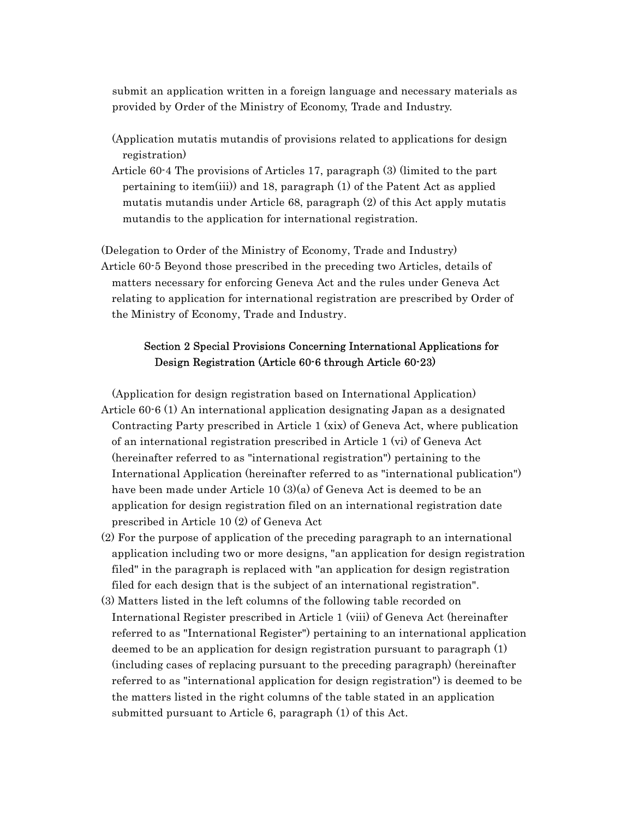submit an application written in a foreign language and necessary materials as provided by Order of the Ministry of Economy, Trade and Industry.

- (Application mutatis mutandis of provisions related to applications for design registration)
- Article 60-4 The provisions of Articles 17, paragraph (3) (limited to the part pertaining to item(iii)) and 18, paragraph (1) of the Patent Act as applied mutatis mutandis under Article 68, paragraph (2) of this Act apply mutatis mutandis to the application for international registration.

(Delegation to Order of the Ministry of Economy, Trade and Industry) Article 60-5 Beyond those prescribed in the preceding two Articles, details of matters necessary for enforcing Geneva Act and the rules under Geneva Act relating to application for international registration are prescribed by Order of the Ministry of Economy, Trade and Industry.

# Section 2 Special Provisions Concerning International Applications for Design Registration (Article 60-6 through Article 60-23)

(Application for design registration based on International Application) Article 60-6 (1) An international application designating Japan as a designated Contracting Party prescribed in Article 1 (xix) of Geneva Act, where publication of an international registration prescribed in Article 1 (vi) of Geneva Act (hereinafter referred to as "international registration") pertaining to the International Application (hereinafter referred to as "international publication") have been made under Article 10 (3)(a) of Geneva Act is deemed to be an application for design registration filed on an international registration date prescribed in Article 10 (2) of Geneva Act

- (2) For the purpose of application of the preceding paragraph to an international application including two or more designs, "an application for design registration filed" in the paragraph is replaced with "an application for design registration filed for each design that is the subject of an international registration".
- (3) Matters listed in the left columns of the following table recorded on International Register prescribed in Article 1 (viii) of Geneva Act (hereinafter referred to as "International Register") pertaining to an international application deemed to be an application for design registration pursuant to paragraph (1) (including cases of replacing pursuant to the preceding paragraph) (hereinafter referred to as "international application for design registration") is deemed to be the matters listed in the right columns of the table stated in an application submitted pursuant to Article 6, paragraph (1) of this Act.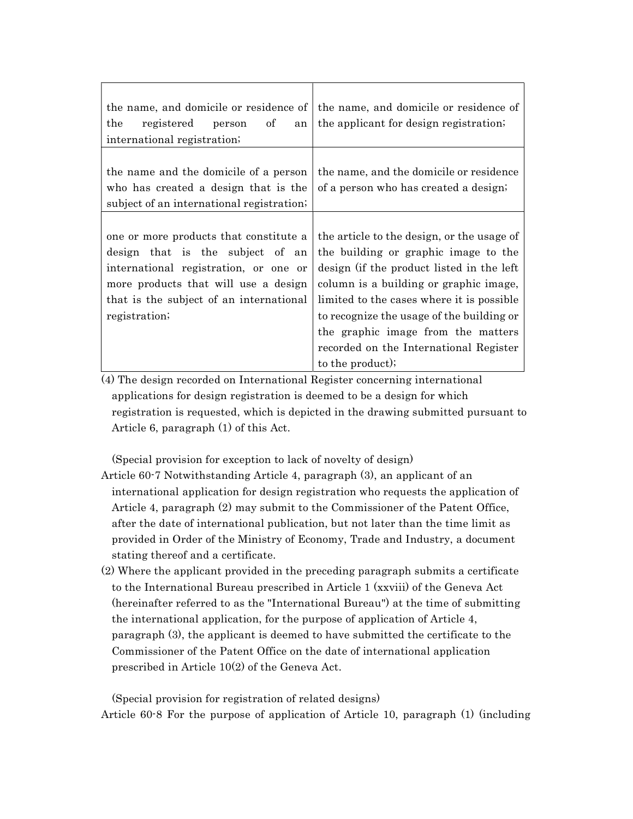| the name, and domicile or residence of<br>person of<br>the<br>registered<br>an<br>international registration;                                                                                                           | the name, and domicile or residence of<br>the applicant for design registration.                                                                                                                                                                                                                                                                                        |
|-------------------------------------------------------------------------------------------------------------------------------------------------------------------------------------------------------------------------|-------------------------------------------------------------------------------------------------------------------------------------------------------------------------------------------------------------------------------------------------------------------------------------------------------------------------------------------------------------------------|
| the name and the domicile of a person<br>who has created a design that is the<br>subject of an international registration.                                                                                              | the name, and the domicile or residence<br>of a person who has created a design;                                                                                                                                                                                                                                                                                        |
| one or more products that constitute a<br>design that is the subject of an<br>international registration, or one or<br>more products that will use a design<br>that is the subject of an international<br>registration; | the article to the design, or the usage of<br>the building or graphic image to the<br>design (if the product listed in the left<br>column is a building or graphic image,<br>limited to the cases where it is possible<br>to recognize the usage of the building or<br>the graphic image from the matters<br>recorded on the International Register<br>to the product); |

(4) The design recorded on International Register concerning international applications for design registration is deemed to be a design for which registration is requested, which is depicted in the drawing submitted pursuant to Article 6, paragraph (1) of this Act.

(Special provision for exception to lack of novelty of design)

- Article 60-7 Notwithstanding Article 4, paragraph (3), an applicant of an international application for design registration who requests the application of Article 4, paragraph (2) may submit to the Commissioner of the Patent Office, after the date of international publication, but not later than the time limit as provided in Order of the Ministry of Economy, Trade and Industry, a document stating thereof and a certificate.
- (2) Where the applicant provided in the preceding paragraph submits a certificate to the International Bureau prescribed in Article 1 (xxviii) of the Geneva Act (hereinafter referred to as the "International Bureau") at the time of submitting the international application, for the purpose of application of Article 4, paragraph (3), the applicant is deemed to have submitted the certificate to the Commissioner of the Patent Office on the date of international application prescribed in Article 10(2) of the Geneva Act.

(Special provision for registration of related designs) Article 60-8 For the purpose of application of Article 10, paragraph (1) (including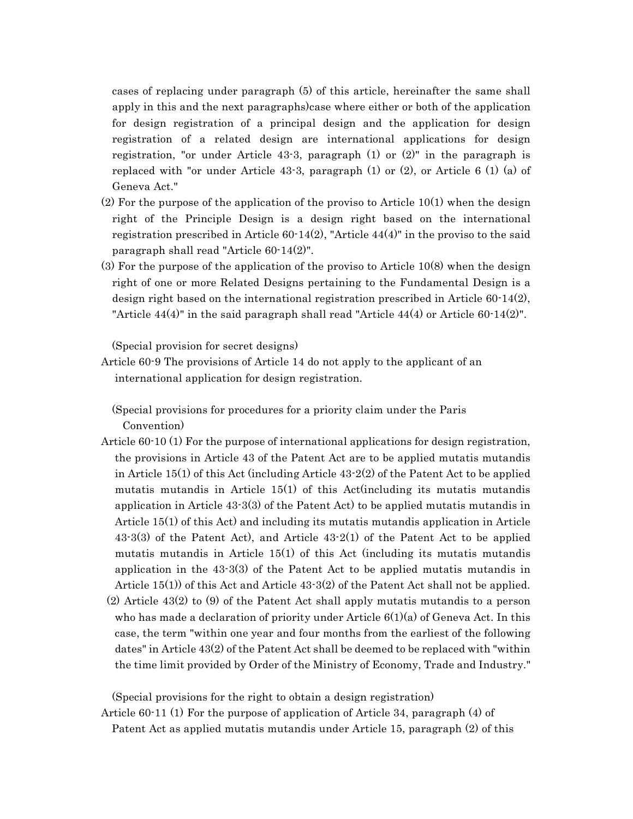cases of replacing under paragraph (5) of this article, hereinafter the same shall apply in this and the next paragraphs)case where either or both of the application for design registration of a principal design and the application for design registration of a related design are international applications for design registration, "or under Article 43-3, paragraph  $(1)$  or  $(2)$ " in the paragraph is replaced with "or under Article 43-3, paragraph (1) or (2), or Article 6 (1) (a) of Geneva Act."

- (2) For the purpose of the application of the proviso to Article 10(1) when the design right of the Principle Design is a design right based on the international registration prescribed in Article  $60-14(2)$ , "Article  $44(4)$ " in the proviso to the said paragraph shall read "Article 60-14(2)".
- (3) For the purpose of the application of the proviso to Article 10(8) when the design right of one or more Related Designs pertaining to the Fundamental Design is a design right based on the international registration prescribed in Article 60-14(2), "Article  $44(4)$ " in the said paragraph shall read "Article  $44(4)$  or Article  $60 \cdot 14(2)$ ".

(Special provision for secret designs)

Article 60-9 The provisions of Article 14 do not apply to the applicant of an international application for design registration.

(Special provisions for procedures for a priority claim under the Paris Convention)

Article 60-10 (1) For the purpose of international applications for design registration, the provisions in Article 43 of the Patent Act are to be applied mutatis mutandis in Article 15(1) of this Act (including Article  $43-2(2)$  of the Patent Act to be applied mutatis mutandis in Article 15(1) of this Act(including its mutatis mutandis application in Article 43-3(3) of the Patent Act) to be applied mutatis mutandis in Article 15(1) of this Act) and including its mutatis mutandis application in Article 43-3(3) of the Patent Act), and Article 43-2(1) of the Patent Act to be applied mutatis mutandis in Article 15(1) of this Act (including its mutatis mutandis application in the 43-3(3) of the Patent Act to be applied mutatis mutandis in Article 15(1)) of this Act and Article 43-3(2) of the Patent Act shall not be applied. (2) Article 43(2) to (9) of the Patent Act shall apply mutatis mutandis to a person who has made a declaration of priority under Article  $6(1)(a)$  of Geneva Act. In this case, the term "within one year and four months from the earliest of the following dates" in Article 43(2) of the Patent Act shall be deemed to be replaced with "within the time limit provided by Order of the Ministry of Economy, Trade and Industry."

(Special provisions for the right to obtain a design registration)

Article 60-11 (1) For the purpose of application of Article 34, paragraph (4) of

Patent Act as applied mutatis mutandis under Article 15, paragraph (2) of this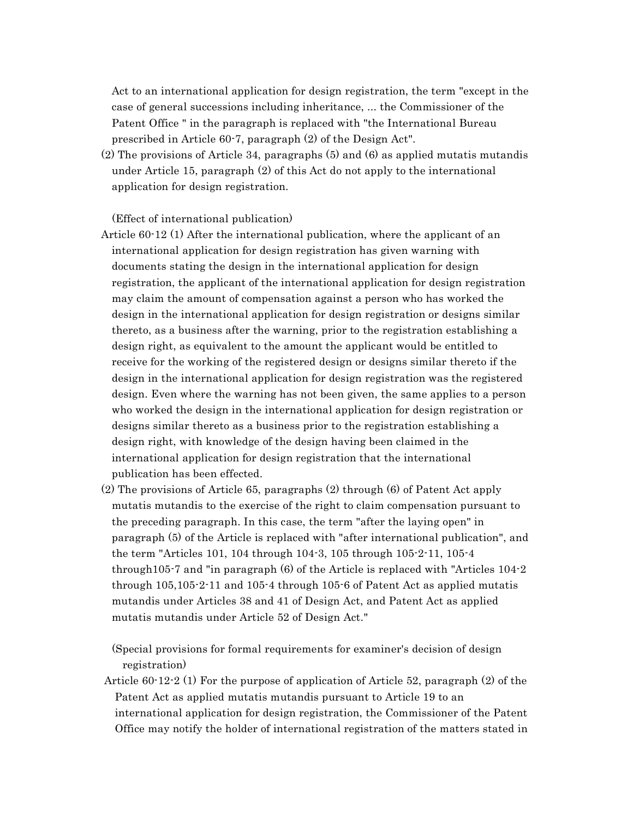Act to an international application for design registration, the term "except in the case of general successions including inheritance, ... the Commissioner of the Patent Office " in the paragraph is replaced with "the International Bureau prescribed in Article 60-7, paragraph (2) of the Design Act".

(2) The provisions of Article 34, paragraphs (5) and (6) as applied mutatis mutandis under Article 15, paragraph (2) of this Act do not apply to the international application for design registration.

# (Effect of international publication)

- Article 60-12 (1) After the international publication, where the applicant of an international application for design registration has given warning with documents stating the design in the international application for design registration, the applicant of the international application for design registration may claim the amount of compensation against a person who has worked the design in the international application for design registration or designs similar thereto, as a business after the warning, prior to the registration establishing a design right, as equivalent to the amount the applicant would be entitled to receive for the working of the registered design or designs similar thereto if the design in the international application for design registration was the registered design. Even where the warning has not been given, the same applies to a person who worked the design in the international application for design registration or designs similar thereto as a business prior to the registration establishing a design right, with knowledge of the design having been claimed in the international application for design registration that the international publication has been effected.
- (2) The provisions of Article 65, paragraphs (2) through (6) of Patent Act apply mutatis mutandis to the exercise of the right to claim compensation pursuant to the preceding paragraph. In this case, the term "after the laying open" in paragraph (5) of the Article is replaced with "after international publication", and the term "Articles 101, 104 through 104-3, 105 through 105-2-11, 105-4 through105-7 and "in paragraph (6) of the Article is replaced with "Articles 104-2 through 105,105-2-11 and 105-4 through 105-6 of Patent Act as applied mutatis mutandis under Articles 38 and 41 of Design Act, and Patent Act as applied mutatis mutandis under Article 52 of Design Act."
	- (Special provisions for formal requirements for examiner's decision of design registration)
- Article 60-12-2 (1) For the purpose of application of Article 52, paragraph (2) of the Patent Act as applied mutatis mutandis pursuant to Article 19 to an international application for design registration, the Commissioner of the Patent Office may notify the holder of international registration of the matters stated in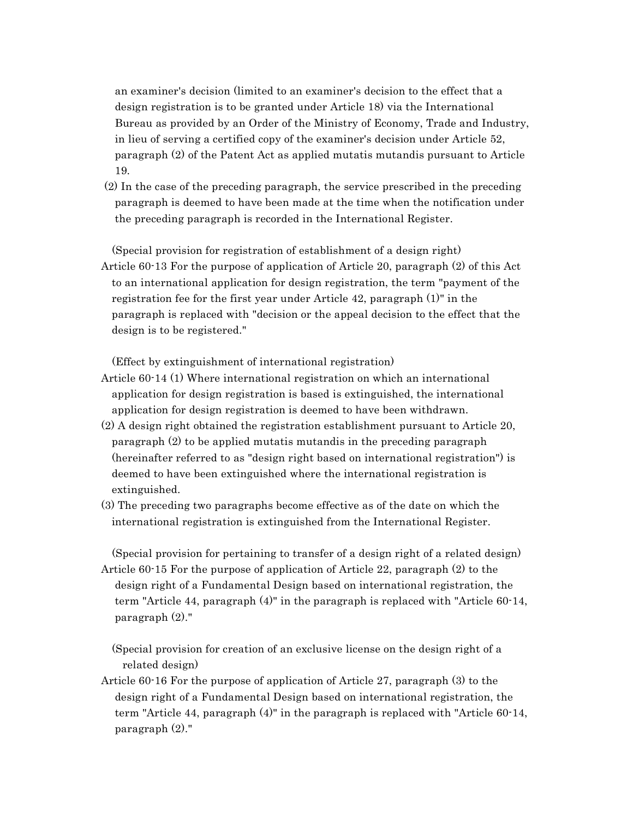an examiner's decision (limited to an examiner's decision to the effect that a design registration is to be granted under Article 18) via the International Bureau as provided by an Order of the Ministry of Economy, Trade and Industry, in lieu of serving a certified copy of the examiner's decision under Article 52, paragraph (2) of the Patent Act as applied mutatis mutandis pursuant to Article 19.

(2) In the case of the preceding paragraph, the service prescribed in the preceding paragraph is deemed to have been made at the time when the notification under the preceding paragraph is recorded in the International Register.

(Special provision for registration of establishment of a design right) Article 60-13 For the purpose of application of Article 20, paragraph (2) of this Act to an international application for design registration, the term "payment of the registration fee for the first year under Article 42, paragraph (1)" in the paragraph is replaced with "decision or the appeal decision to the effect that the design is to be registered."

(Effect by extinguishment of international registration)

- Article 60-14 (1) Where international registration on which an international application for design registration is based is extinguished, the international application for design registration is deemed to have been withdrawn.
- (2) A design right obtained the registration establishment pursuant to Article 20, paragraph (2) to be applied mutatis mutandis in the preceding paragraph (hereinafter referred to as "design right based on international registration") is deemed to have been extinguished where the international registration is extinguished.
- (3) The preceding two paragraphs become effective as of the date on which the international registration is extinguished from the International Register.

(Special provision for pertaining to transfer of a design right of a related design) Article 60-15 For the purpose of application of Article 22, paragraph (2) to the design right of a Fundamental Design based on international registration, the term "Article 44, paragraph (4)" in the paragraph is replaced with "Article 60-14, paragraph (2)."

(Special provision for creation of an exclusive license on the design right of a related design)

Article 60-16 For the purpose of application of Article 27, paragraph (3) to the design right of a Fundamental Design based on international registration, the term "Article 44, paragraph (4)" in the paragraph is replaced with "Article 60-14, paragraph (2)."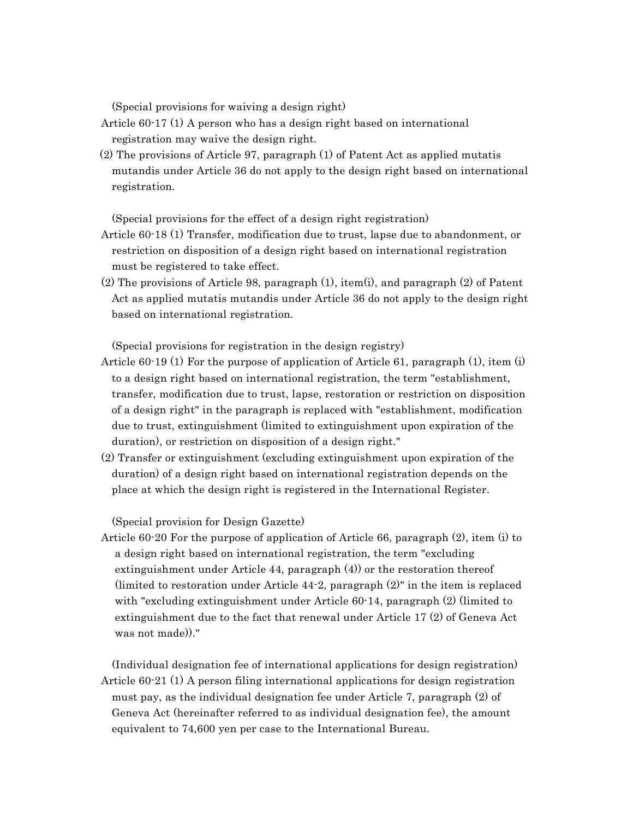(Special provisions for waiving a design right)

Article 60-17 (1) A person who has a design right based on international registration may waive the design right.

 (2) The provisions of Article 97, paragraph (1) of Patent Act as applied mutatis mutandis under Article 36 do not apply to the design right based on international registration.

(Special provisions for the effect of a design right registration)

- Article 60-18 (1) Transfer, modification due to trust, lapse due to abandonment, or restriction on disposition of a design right based on international registration must be registered to take effect.
- (2) The provisions of Article 98, paragraph (1), item(i), and paragraph (2) of Patent Act as applied mutatis mutandis under Article 36 do not apply to the design right based on international registration.

(Special provisions for registration in the design registry)

- Article 60-19 (1) For the purpose of application of Article 61, paragraph (1), item (i) to a design right based on international registration, the term "establishment, transfer, modification due to trust, lapse, restoration or restriction on disposition of a design right" in the paragraph is replaced with "establishment, modification due to trust, extinguishment (limited to extinguishment upon expiration of the duration), or restriction on disposition of a design right."
- (2) Transfer or extinguishment (excluding extinguishment upon expiration of the duration) of a design right based on international registration depends on the place at which the design right is registered in the International Register.

(Special provision for Design Gazette)

Article 60-20 For the purpose of application of Article 66, paragraph (2), item (i) to a design right based on international registration, the term "excluding extinguishment under Article 44, paragraph (4)) or the restoration thereof (limited to restoration under Article 44-2, paragraph (2)" in the item is replaced with "excluding extinguishment under Article 60-14, paragraph (2) (limited to extinguishment due to the fact that renewal under Article 17 (2) of Geneva Act was not made))."

(Individual designation fee of international applications for design registration) Article 60-21 (1) A person filing international applications for design registration must pay, as the individual designation fee under Article 7, paragraph (2) of Geneva Act (hereinafter referred to as individual designation fee), the amount equivalent to 74,600 yen per case to the International Bureau.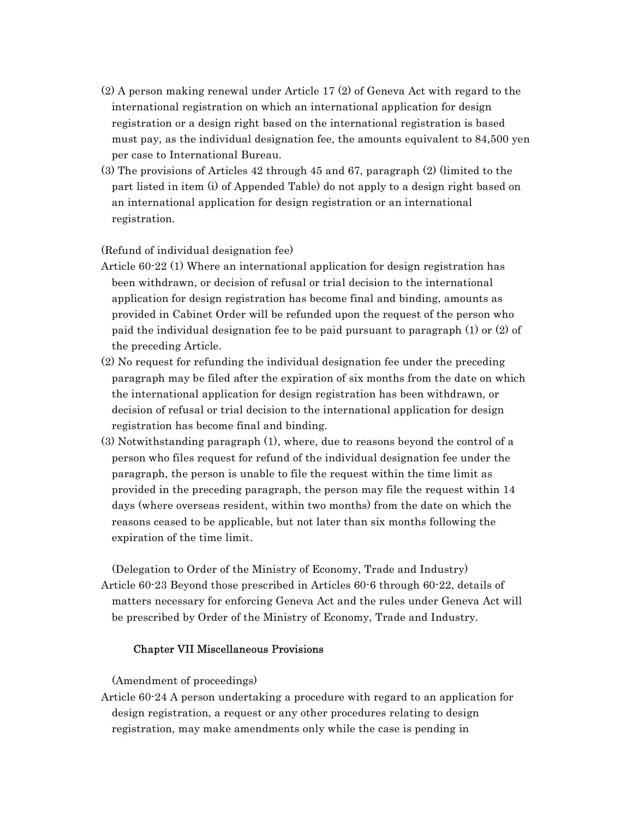- (2) A person making renewal under Article 17 (2) of Geneva Act with regard to the international registration on which an international application for design registration or a design right based on the international registration is based must pay, as the individual designation fee, the amounts equivalent to 84,500 yen per case to International Bureau.
- (3) The provisions of Articles 42 through 45 and 67, paragraph (2) (limited to the part listed in item (i) of Appended Table) do not apply to a design right based on an international application for design registration or an international registration.

### (Refund of individual designation fee)

- Article 60-22 (1) Where an international application for design registration has been withdrawn, or decision of refusal or trial decision to the international application for design registration has become final and binding, amounts as provided in Cabinet Order will be refunded upon the request of the person who paid the individual designation fee to be paid pursuant to paragraph (1) or (2) of the preceding Article.
- (2) No request for refunding the individual designation fee under the preceding paragraph may be filed after the expiration of six months from the date on which the international application for design registration has been withdrawn, or decision of refusal or trial decision to the international application for design registration has become final and binding.
- (3) Notwithstanding paragraph (1), where, due to reasons beyond the control of a person who files request for refund of the individual designation fee under the paragraph, the person is unable to file the request within the time limit as provided in the preceding paragraph, the person may file the request within 14 days (where overseas resident, within two months) from the date on which the reasons ceased to be applicable, but not later than six months following the expiration of the time limit.

(Delegation to Order of the Ministry of Economy, Trade and Industry) Article 60-23 Beyond those prescribed in Articles 60-6 through 60-22, details of matters necessary for enforcing Geneva Act and the rules under Geneva Act will be prescribed by Order of the Ministry of Economy, Trade and Industry.

### Chapter VII Miscellaneous Provisions

(Amendment of proceedings)

Article 60-24 A person undertaking a procedure with regard to an application for design registration, a request or any other procedures relating to design registration, may make amendments only while the case is pending in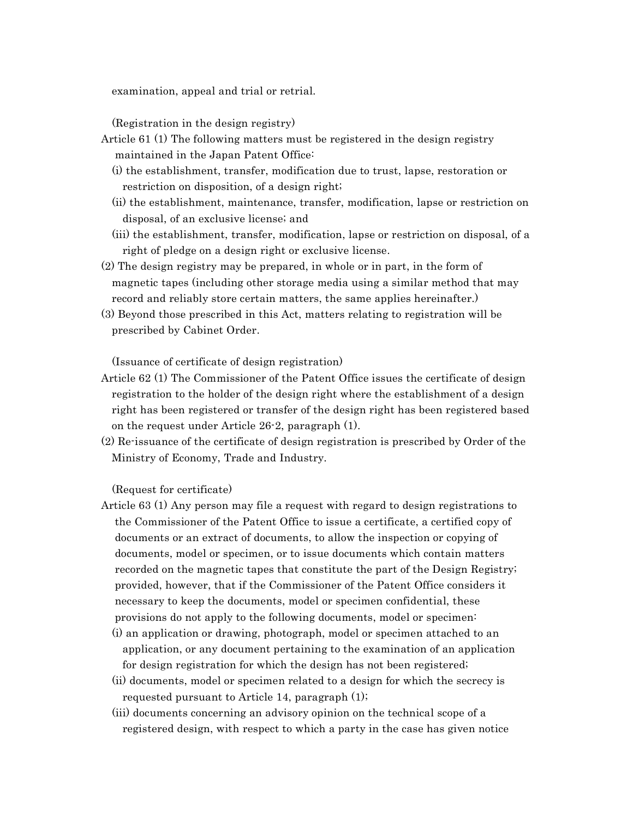examination, appeal and trial or retrial.

(Registration in the design registry)

- Article 61 (1) The following matters must be registered in the design registry maintained in the Japan Patent Office:
	- (i) the establishment, transfer, modification due to trust, lapse, restoration or restriction on disposition, of a design right;
	- (ii) the establishment, maintenance, transfer, modification, lapse or restriction on disposal, of an exclusive license; and
	- (iii) the establishment, transfer, modification, lapse or restriction on disposal, of a right of pledge on a design right or exclusive license.
- (2) The design registry may be prepared, in whole or in part, in the form of magnetic tapes (including other storage media using a similar method that may record and reliably store certain matters, the same applies hereinafter.)
- (3) Beyond those prescribed in this Act, matters relating to registration will be prescribed by Cabinet Order.

(Issuance of certificate of design registration)

- Article 62 (1) The Commissioner of the Patent Office issues the certificate of design registration to the holder of the design right where the establishment of a design right has been registered or transfer of the design right has been registered based on the request under Article 26-2, paragraph (1).
- (2) Re-issuance of the certificate of design registration is prescribed by Order of the Ministry of Economy, Trade and Industry.

(Request for certificate)

- Article 63 (1) Any person may file a request with regard to design registrations to the Commissioner of the Patent Office to issue a certificate, a certified copy of documents or an extract of documents, to allow the inspection or copying of documents, model or specimen, or to issue documents which contain matters recorded on the magnetic tapes that constitute the part of the Design Registry; provided, however, that if the Commissioner of the Patent Office considers it necessary to keep the documents, model or specimen confidential, these provisions do not apply to the following documents, model or specimen:
	- (i) an application or drawing, photograph, model or specimen attached to an application, or any document pertaining to the examination of an application for design registration for which the design has not been registered;
	- (ii) documents, model or specimen related to a design for which the secrecy is requested pursuant to Article 14, paragraph (1);
	- (iii) documents concerning an advisory opinion on the technical scope of a registered design, with respect to which a party in the case has given notice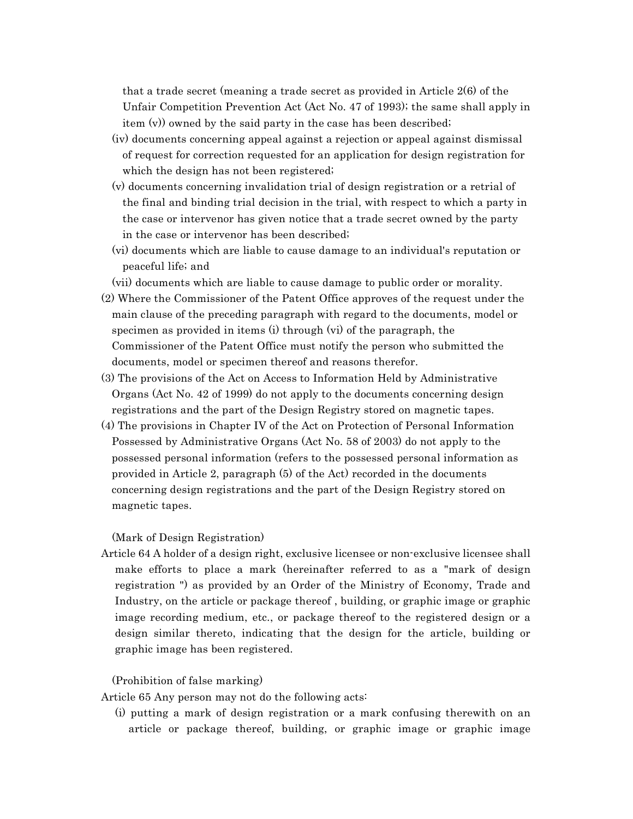that a trade secret (meaning a trade secret as provided in Article 2(6) of the Unfair Competition Prevention Act (Act No. 47 of 1993); the same shall apply in item (v)) owned by the said party in the case has been described;

- (iv) documents concerning appeal against a rejection or appeal against dismissal of request for correction requested for an application for design registration for which the design has not been registered;
- (v) documents concerning invalidation trial of design registration or a retrial of the final and binding trial decision in the trial, with respect to which a party in the case or intervenor has given notice that a trade secret owned by the party in the case or intervenor has been described;
- (vi) documents which are liable to cause damage to an individual's reputation or peaceful life; and
- (vii) documents which are liable to cause damage to public order or morality.
- (2) Where the Commissioner of the Patent Office approves of the request under the main clause of the preceding paragraph with regard to the documents, model or specimen as provided in items (i) through (vi) of the paragraph, the Commissioner of the Patent Office must notify the person who submitted the documents, model or specimen thereof and reasons therefor.
- (3) The provisions of the Act on Access to Information Held by Administrative Organs (Act No. 42 of 1999) do not apply to the documents concerning design registrations and the part of the Design Registry stored on magnetic tapes.
- (4) The provisions in Chapter IV of the Act on Protection of Personal Information Possessed by Administrative Organs (Act No. 58 of 2003) do not apply to the possessed personal information (refers to the possessed personal information as provided in Article 2, paragraph (5) of the Act) recorded in the documents concerning design registrations and the part of the Design Registry stored on magnetic tapes.

### (Mark of Design Registration)

Article 64 A holder of a design right, exclusive licensee or non-exclusive licensee shall make efforts to place a mark (hereinafter referred to as a "mark of design registration ") as provided by an Order of the Ministry of Economy, Trade and Industry, on the article or package thereof , building, or graphic image or graphic image recording medium, etc., or package thereof to the registered design or a design similar thereto, indicating that the design for the article, building or graphic image has been registered.

### (Prohibition of false marking)

Article 65 Any person may not do the following acts:

(i) putting a mark of design registration or a mark confusing therewith on an article or package thereof, building, or graphic image or graphic image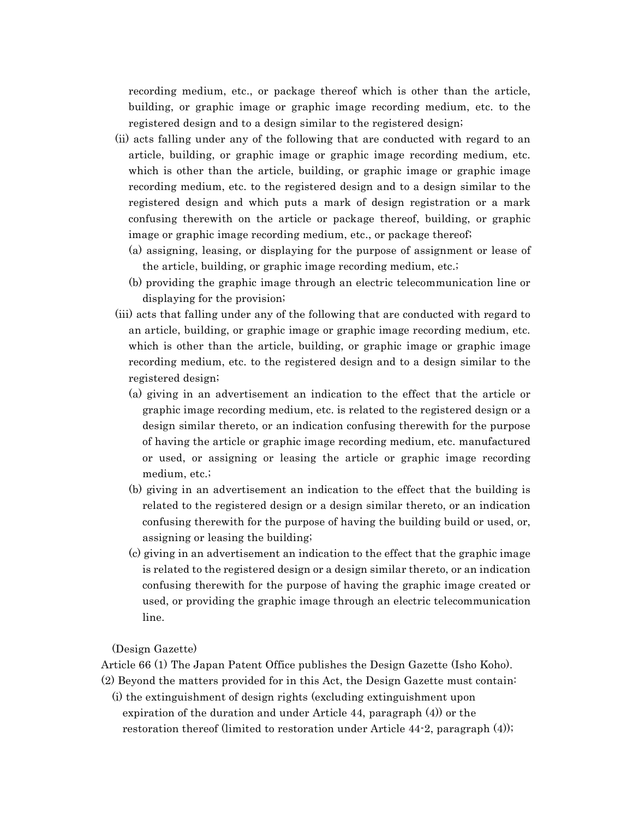recording medium, etc., or package thereof which is other than the article, building, or graphic image or graphic image recording medium, etc. to the registered design and to a design similar to the registered design;

- (ii) acts falling under any of the following that are conducted with regard to an article, building, or graphic image or graphic image recording medium, etc. which is other than the article, building, or graphic image or graphic image recording medium, etc. to the registered design and to a design similar to the registered design and which puts a mark of design registration or a mark confusing therewith on the article or package thereof, building, or graphic image or graphic image recording medium, etc., or package thereof;
	- (a) assigning, leasing, or displaying for the purpose of assignment or lease of the article, building, or graphic image recording medium, etc.;
	- (b) providing the graphic image through an electric telecommunication line or displaying for the provision;
- (iii) acts that falling under any of the following that are conducted with regard to an article, building, or graphic image or graphic image recording medium, etc. which is other than the article, building, or graphic image or graphic image recording medium, etc. to the registered design and to a design similar to the registered design;
	- (a) giving in an advertisement an indication to the effect that the article or graphic image recording medium, etc. is related to the registered design or a design similar thereto, or an indication confusing therewith for the purpose of having the article or graphic image recording medium, etc. manufactured or used, or assigning or leasing the article or graphic image recording medium, etc.;
	- (b) giving in an advertisement an indication to the effect that the building is related to the registered design or a design similar thereto, or an indication confusing therewith for the purpose of having the building build or used, or, assigning or leasing the building;
	- (c) giving in an advertisement an indication to the effect that the graphic image is related to the registered design or a design similar thereto, or an indication confusing therewith for the purpose of having the graphic image created or used, or providing the graphic image through an electric telecommunication line.

(Design Gazette)

Article 66 (1) The Japan Patent Office publishes the Design Gazette (Isho Koho).

(2) Beyond the matters provided for in this Act, the Design Gazette must contain:

(i) the extinguishment of design rights (excluding extinguishment upon expiration of the duration and under Article 44, paragraph (4)) or the restoration thereof (limited to restoration under Article 44-2, paragraph (4));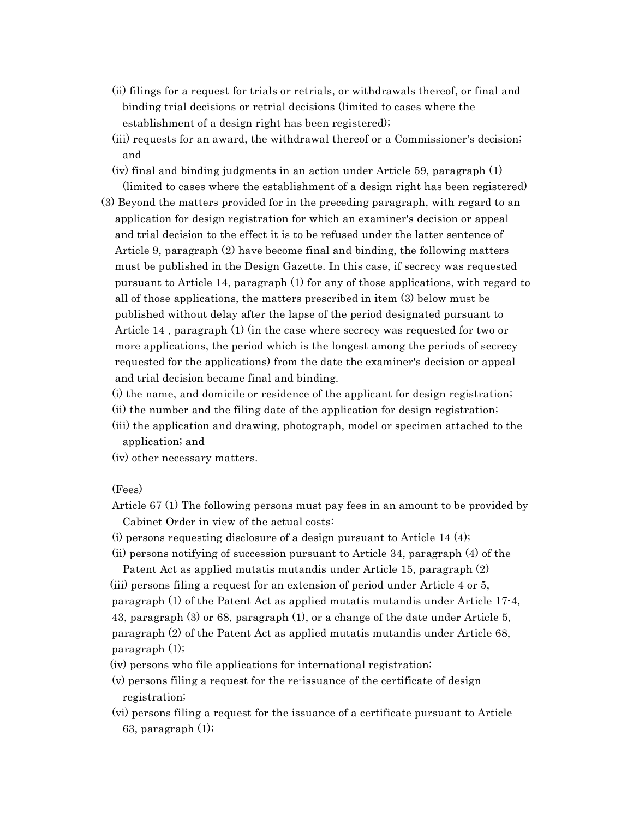- (ii) filings for a request for trials or retrials, or withdrawals thereof, or final and binding trial decisions or retrial decisions (limited to cases where the establishment of a design right has been registered);
- (iii) requests for an award, the withdrawal thereof or a Commissioner's decision; and
- (iv) final and binding judgments in an action under Article 59, paragraph (1) (limited to cases where the establishment of a design right has been registered)
- (3) Beyond the matters provided for in the preceding paragraph, with regard to an application for design registration for which an examiner's decision or appeal and trial decision to the effect it is to be refused under the latter sentence of Article 9, paragraph (2) have become final and binding, the following matters must be published in the Design Gazette. In this case, if secrecy was requested pursuant to Article 14, paragraph (1) for any of those applications, with regard to all of those applications, the matters prescribed in item (3) below must be published without delay after the lapse of the period designated pursuant to Article 14 , paragraph (1) (in the case where secrecy was requested for two or more applications, the period which is the longest among the periods of secrecy requested for the applications) from the date the examiner's decision or appeal and trial decision became final and binding.
	- (i) the name, and domicile or residence of the applicant for design registration;
	- (ii) the number and the filing date of the application for design registration;
	- (iii) the application and drawing, photograph, model or specimen attached to the application; and
	- (iv) other necessary matters.

### (Fees)

- Article 67 (1) The following persons must pay fees in an amount to be provided by Cabinet Order in view of the actual costs:
- (i) persons requesting disclosure of a design pursuant to Article 14 (4);
- (ii) persons notifying of succession pursuant to Article 34, paragraph (4) of the

Patent Act as applied mutatis mutandis under Article 15, paragraph (2) (iii) persons filing a request for an extension of period under Article 4 or 5, paragraph (1) of the Patent Act as applied mutatis mutandis under Article 17-4, 43, paragraph (3) or 68, paragraph (1), or a change of the date under Article 5, paragraph (2) of the Patent Act as applied mutatis mutandis under Article 68, paragraph (1);

- (iv) persons who file applications for international registration;
- (v) persons filing a request for the re-issuance of the certificate of design registration;
- (vi) persons filing a request for the issuance of a certificate pursuant to Article 63, paragraph (1);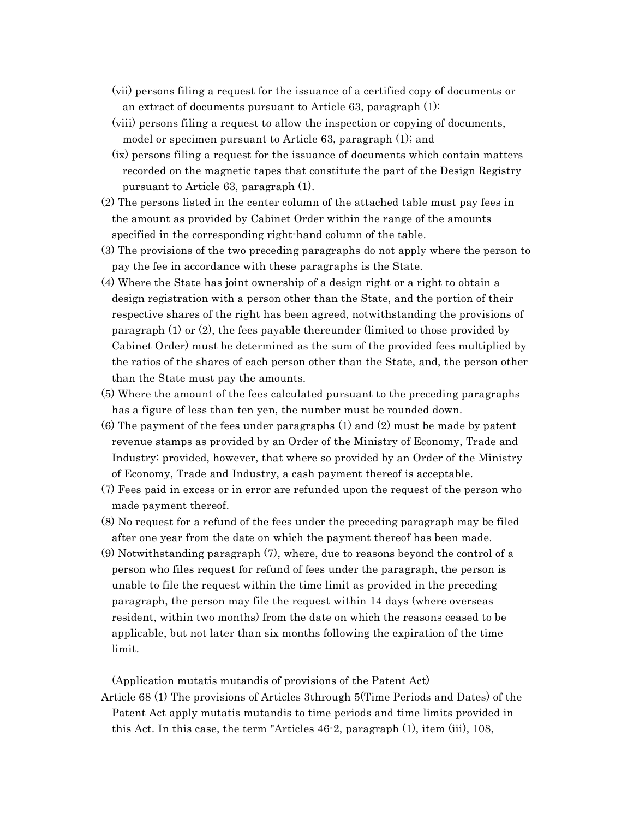- (vii) persons filing a request for the issuance of a certified copy of documents or an extract of documents pursuant to Article 63, paragraph (1):
- (viii) persons filing a request to allow the inspection or copying of documents, model or specimen pursuant to Article 63, paragraph (1); and
- (ix) persons filing a request for the issuance of documents which contain matters recorded on the magnetic tapes that constitute the part of the Design Registry pursuant to Article 63, paragraph (1).
- (2) The persons listed in the center column of the attached table must pay fees in the amount as provided by Cabinet Order within the range of the amounts specified in the corresponding right-hand column of the table.
- (3) The provisions of the two preceding paragraphs do not apply where the person to pay the fee in accordance with these paragraphs is the State.
- (4) Where the State has joint ownership of a design right or a right to obtain a design registration with a person other than the State, and the portion of their respective shares of the right has been agreed, notwithstanding the provisions of paragraph (1) or (2), the fees payable thereunder (limited to those provided by Cabinet Order) must be determined as the sum of the provided fees multiplied by the ratios of the shares of each person other than the State, and, the person other than the State must pay the amounts.
- (5) Where the amount of the fees calculated pursuant to the preceding paragraphs has a figure of less than ten yen, the number must be rounded down.
- (6) The payment of the fees under paragraphs (1) and (2) must be made by patent revenue stamps as provided by an Order of the Ministry of Economy, Trade and Industry; provided, however, that where so provided by an Order of the Ministry of Economy, Trade and Industry, a cash payment thereof is acceptable.
- (7) Fees paid in excess or in error are refunded upon the request of the person who made payment thereof.
- (8) No request for a refund of the fees under the preceding paragraph may be filed after one year from the date on which the payment thereof has been made.
- (9) Notwithstanding paragraph (7), where, due to reasons beyond the control of a person who files request for refund of fees under the paragraph, the person is unable to file the request within the time limit as provided in the preceding paragraph, the person may file the request within 14 days (where overseas resident, within two months) from the date on which the reasons ceased to be applicable, but not later than six months following the expiration of the time limit.

(Application mutatis mutandis of provisions of the Patent Act)

Article 68 (1) The provisions of Articles 3through 5(Time Periods and Dates) of the Patent Act apply mutatis mutandis to time periods and time limits provided in this Act. In this case, the term "Articles 46-2, paragraph (1), item (iii), 108,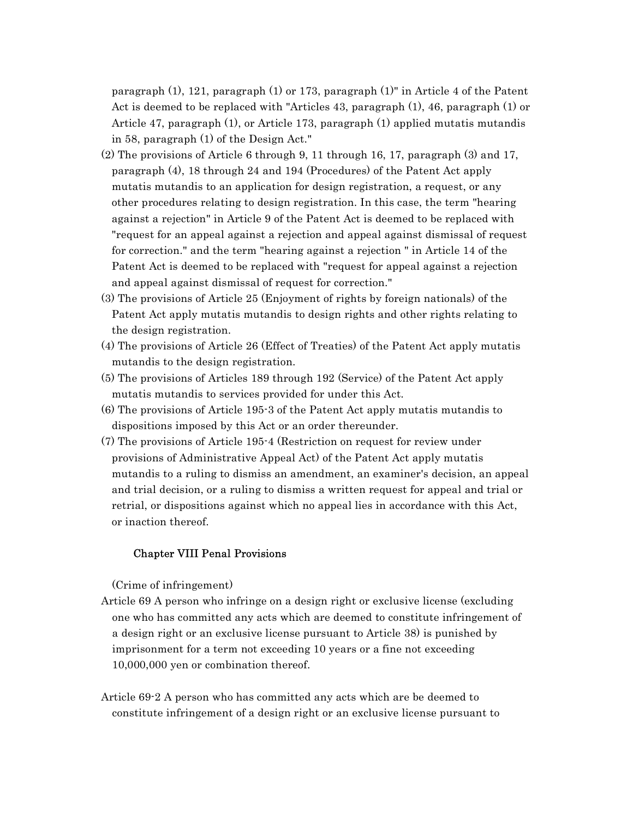paragraph (1), 121, paragraph (1) or 173, paragraph (1)" in Article 4 of the Patent Act is deemed to be replaced with "Articles 43, paragraph (1), 46, paragraph (1) or Article 47, paragraph (1), or Article 173, paragraph (1) applied mutatis mutandis in 58, paragraph (1) of the Design Act."

- $(2)$  The provisions of Article 6 through 9, 11 through 16, 17, paragraph  $(3)$  and 17, paragraph (4), 18 through 24 and 194 (Procedures) of the Patent Act apply mutatis mutandis to an application for design registration, a request, or any other procedures relating to design registration. In this case, the term "hearing against a rejection" in Article 9 of the Patent Act is deemed to be replaced with "request for an appeal against a rejection and appeal against dismissal of request for correction." and the term "hearing against a rejection " in Article 14 of the Patent Act is deemed to be replaced with "request for appeal against a rejection and appeal against dismissal of request for correction."
- (3) The provisions of Article 25 (Enjoyment of rights by foreign nationals) of the Patent Act apply mutatis mutandis to design rights and other rights relating to the design registration.
- (4) The provisions of Article 26 (Effect of Treaties) of the Patent Act apply mutatis mutandis to the design registration.
- (5) The provisions of Articles 189 through 192 (Service) of the Patent Act apply mutatis mutandis to services provided for under this Act.
- (6) The provisions of Article 195-3 of the Patent Act apply mutatis mutandis to dispositions imposed by this Act or an order thereunder.
- (7) The provisions of Article 195-4 (Restriction on request for review under provisions of Administrative Appeal Act) of the Patent Act apply mutatis mutandis to a ruling to dismiss an amendment, an examiner's decision, an appeal and trial decision, or a ruling to dismiss a written request for appeal and trial or retrial, or dispositions against which no appeal lies in accordance with this Act, or inaction thereof.

### Chapter VIII Penal Provisions

(Crime of infringement)

- Article 69 A person who infringe on a design right or exclusive license (excluding one who has committed any acts which are deemed to constitute infringement of a design right or an exclusive license pursuant to Article 38) is punished by imprisonment for a term not exceeding 10 years or a fine not exceeding 10,000,000 yen or combination thereof.
- Article 69-2 A person who has committed any acts which are be deemed to constitute infringement of a design right or an exclusive license pursuant to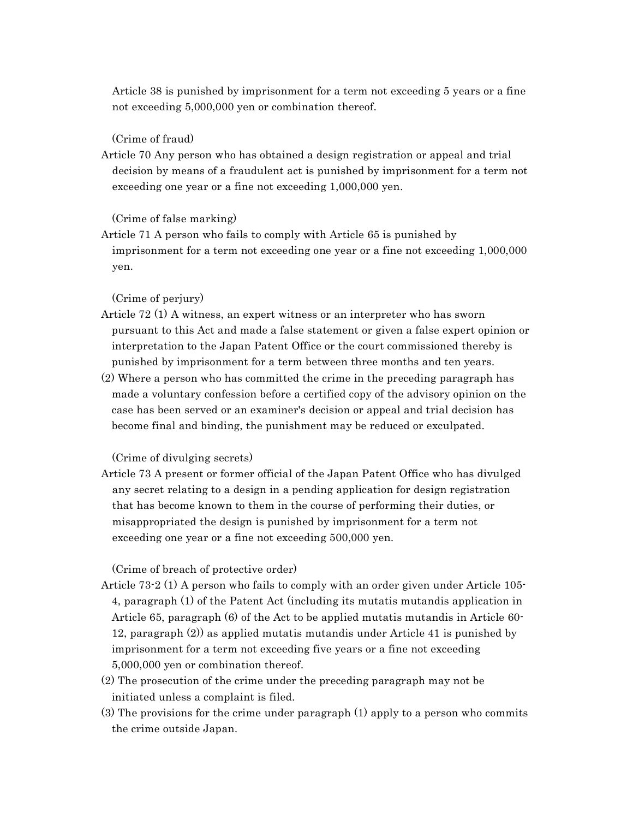Article 38 is punished by imprisonment for a term not exceeding 5 years or a fine not exceeding 5,000,000 yen or combination thereof.

### (Crime of fraud)

Article 70 Any person who has obtained a design registration or appeal and trial decision by means of a fraudulent act is punished by imprisonment for a term not exceeding one year or a fine not exceeding 1,000,000 yen.

### (Crime of false marking)

Article 71 A person who fails to comply with Article 65 is punished by imprisonment for a term not exceeding one year or a fine not exceeding 1,000,000 yen.

# (Crime of perjury)

- Article 72 (1) A witness, an expert witness or an interpreter who has sworn pursuant to this Act and made a false statement or given a false expert opinion or interpretation to the Japan Patent Office or the court commissioned thereby is punished by imprisonment for a term between three months and ten years.
- (2) Where a person who has committed the crime in the preceding paragraph has made a voluntary confession before a certified copy of the advisory opinion on the case has been served or an examiner's decision or appeal and trial decision has become final and binding, the punishment may be reduced or exculpated.

### (Crime of divulging secrets)

Article 73 A present or former official of the Japan Patent Office who has divulged any secret relating to a design in a pending application for design registration that has become known to them in the course of performing their duties, or misappropriated the design is punished by imprisonment for a term not exceeding one year or a fine not exceeding 500,000 yen.

### (Crime of breach of protective order)

- Article 73-2 (1) A person who fails to comply with an order given under Article 105- 4, paragraph (1) of the Patent Act (including its mutatis mutandis application in Article 65, paragraph (6) of the Act to be applied mutatis mutandis in Article 60- 12, paragraph (2)) as applied mutatis mutandis under Article 41 is punished by imprisonment for a term not exceeding five years or a fine not exceeding 5,000,000 yen or combination thereof.
- (2) The prosecution of the crime under the preceding paragraph may not be initiated unless a complaint is filed.
- (3) The provisions for the crime under paragraph (1) apply to a person who commits the crime outside Japan.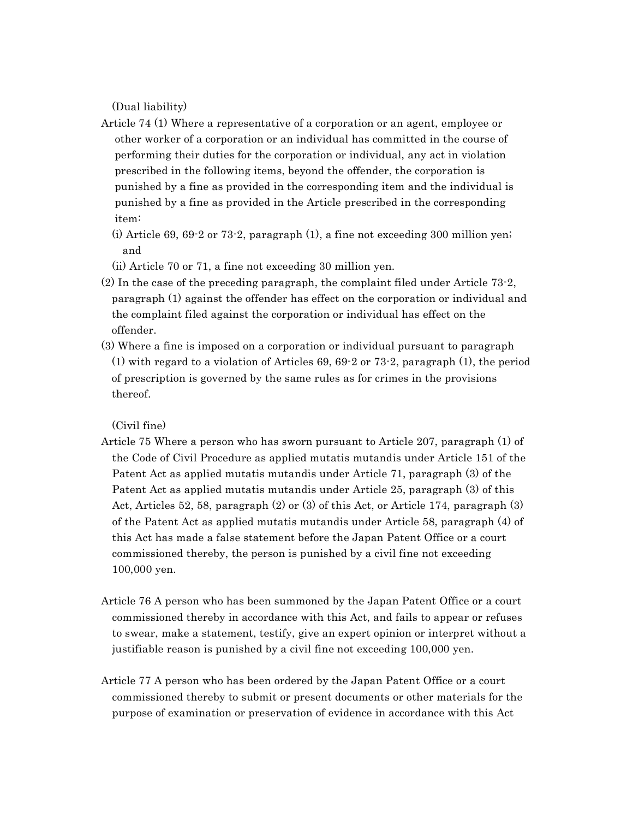(Dual liability)

- Article 74 (1) Where a representative of a corporation or an agent, employee or other worker of a corporation or an individual has committed in the course of performing their duties for the corporation or individual, any act in violation prescribed in the following items, beyond the offender, the corporation is punished by a fine as provided in the corresponding item and the individual is punished by a fine as provided in the Article prescribed in the corresponding item:
	- (i) Article 69, 69-2 or 73-2, paragraph  $(1)$ , a fine not exceeding 300 million yen; and
	- (ii) Article 70 or 71, a fine not exceeding 30 million yen.
- (2) In the case of the preceding paragraph, the complaint filed under Article 73-2, paragraph (1) against the offender has effect on the corporation or individual and the complaint filed against the corporation or individual has effect on the offender.
- (3) Where a fine is imposed on a corporation or individual pursuant to paragraph (1) with regard to a violation of Articles 69, 69-2 or 73-2, paragraph (1), the period of prescription is governed by the same rules as for crimes in the provisions thereof.

# (Civil fine)

- Article 75 Where a person who has sworn pursuant to Article 207, paragraph (1) of the Code of Civil Procedure as applied mutatis mutandis under Article 151 of the Patent Act as applied mutatis mutandis under Article 71, paragraph (3) of the Patent Act as applied mutatis mutandis under Article 25, paragraph (3) of this Act, Articles 52, 58, paragraph (2) or (3) of this Act, or Article 174, paragraph (3) of the Patent Act as applied mutatis mutandis under Article 58, paragraph (4) of this Act has made a false statement before the Japan Patent Office or a court commissioned thereby, the person is punished by a civil fine not exceeding 100,000 yen.
- Article 76 A person who has been summoned by the Japan Patent Office or a court commissioned thereby in accordance with this Act, and fails to appear or refuses to swear, make a statement, testify, give an expert opinion or interpret without a justifiable reason is punished by a civil fine not exceeding 100,000 yen.
- Article 77 A person who has been ordered by the Japan Patent Office or a court commissioned thereby to submit or present documents or other materials for the purpose of examination or preservation of evidence in accordance with this Act